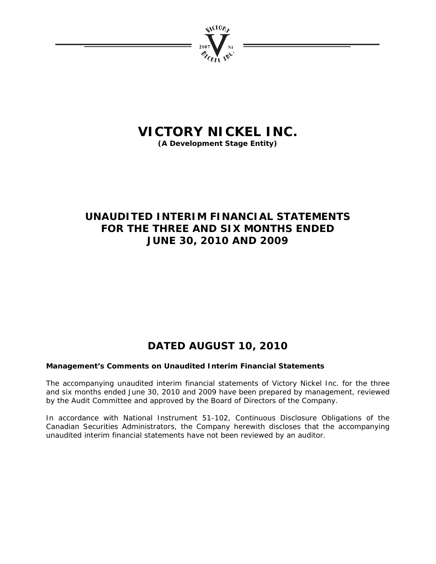

# **VICTORY NICKEL INC.**

**(A Development Stage Entity)** 

# **UNAUDITED INTERIM FINANCIAL STATEMENTS FOR THE THREE AND SIX MONTHS ENDED JUNE 30, 2010 AND 2009**

# **DATED AUGUST 10, 2010**

# **Management's Comments on Unaudited Interim Financial Statements**

The accompanying unaudited interim financial statements of Victory Nickel Inc. for the three and six months ended June 30, 2010 and 2009 have been prepared by management, reviewed by the Audit Committee and approved by the Board of Directors of the Company.

In accordance with National Instrument 51-102, Continuous Disclosure Obligations of the Canadian Securities Administrators, the Company herewith discloses that the accompanying unaudited interim financial statements have not been reviewed by an auditor.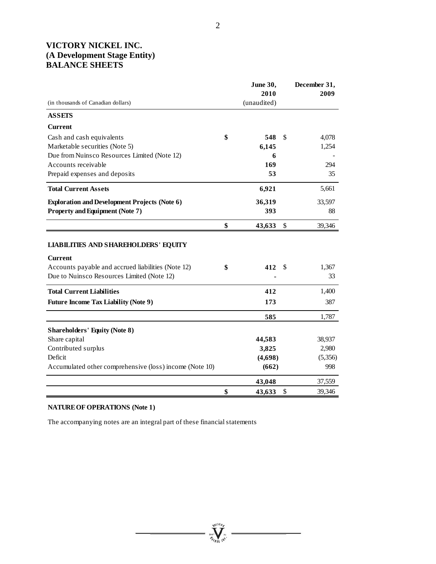# **VICTORY NICKEL INC. (A Development Stage Entity) BALANCE SHEETS**

|                                                                                                                                                                   | June 30,            |    | December 31, |
|-------------------------------------------------------------------------------------------------------------------------------------------------------------------|---------------------|----|--------------|
| (in thousands of Canadian dollars)                                                                                                                                | 2010<br>(unaudited) |    | 2009         |
|                                                                                                                                                                   |                     |    |              |
| <b>ASSETS</b>                                                                                                                                                     |                     |    |              |
| <b>Current</b>                                                                                                                                                    |                     |    |              |
| Cash and cash equivalents                                                                                                                                         | \$<br>548           | \$ | 4,078        |
| Marketable securities (Note 5)                                                                                                                                    | 6,145               |    | 1,254        |
| Due from Nuinsco Resources Limited (Note 12)                                                                                                                      | 6                   |    |              |
| Accounts receivable                                                                                                                                               | 169                 |    | 294          |
| Prepaid expenses and deposits                                                                                                                                     | 53                  |    | 35           |
| <b>Total Current Assets</b>                                                                                                                                       | 6,921               |    | 5,661        |
| <b>Exploration and Development Projects (Note 6)</b>                                                                                                              | 36,319              |    | 33,597       |
| <b>Property and Equipment (Note 7)</b>                                                                                                                            | 393                 |    | 88           |
|                                                                                                                                                                   | \$<br>43,633        | \$ | 39,346       |
| <b>LIABILITIES AND SHAREHOLDERS' EQUITY</b><br><b>Current</b><br>Accounts payable and accrued liabilities (Note 12)<br>Due to Nuinsco Resources Limited (Note 12) | \$<br>412           | S  | 1,367<br>33  |
| <b>Total Current Liabilities</b>                                                                                                                                  | 412                 |    | 1,400        |
| <b>Future Income Tax Liability (Note 9)</b>                                                                                                                       | 173                 |    | 387          |
|                                                                                                                                                                   | 585                 |    | 1,787        |
| <b>Shareholders' Equity (Note 8)</b>                                                                                                                              |                     |    |              |
| Share capital                                                                                                                                                     | 44,583              |    | 38,937       |
| Contributed surplus                                                                                                                                               | 3,825               |    | 2,980        |
| Deficit                                                                                                                                                           | (4,698)             |    | (5,356)      |
| Accumulated other comprehensive (loss) income (Note 10)                                                                                                           | (662)               |    | 998          |
|                                                                                                                                                                   | 43,048              |    | 37,559       |
|                                                                                                                                                                   | \$<br>43,633        | \$ | 39,346       |

**William** 

# **NATURE OF OPERATIONS (Note 1)**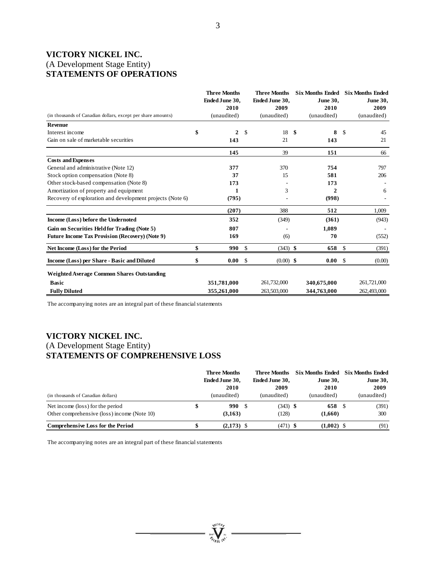# **VICTORY NICKEL INC.**  (A Development Stage Entity) **STATEMENTS OF OPERATIONS**

|                                                              |    | <b>Three Months</b><br><b>Ended June 30,</b> |               | <b>Three Months</b><br>Ended June 30, |      | <b>Six Months Ended</b><br><b>June 30,</b> |    | <b>Six Months Ended</b><br><b>June 30,</b> |
|--------------------------------------------------------------|----|----------------------------------------------|---------------|---------------------------------------|------|--------------------------------------------|----|--------------------------------------------|
|                                                              |    | 2010                                         |               | 2009                                  |      | 2010                                       |    | 2009                                       |
| (in thousands of Canadian dollars, except per share amounts) |    | (unaudited)                                  |               | (unaudited)                           |      | (unaudited)                                |    | (unaudited)                                |
| <b>Revenue</b>                                               |    |                                              |               |                                       |      |                                            |    |                                            |
| Interest income                                              | \$ | 2                                            | S.            | 18                                    | - \$ | 8                                          | -S | 45                                         |
| Gain on sale of marketable securities                        |    | 143                                          |               | 21                                    |      | 143                                        |    | 21                                         |
|                                                              |    | 145                                          |               | 39                                    |      | 151                                        |    | 66                                         |
| <b>Costs and Expenses</b>                                    |    |                                              |               |                                       |      |                                            |    |                                            |
| General and administrative (Note 12)                         |    | 377                                          |               | 370                                   |      | 754                                        |    | 797                                        |
| Stock option compensation (Note 8)                           |    | 37                                           |               | 15                                    |      | 581                                        |    | 206                                        |
| Other stock-based compensation (Note 8)                      |    | 173                                          |               |                                       |      | 173                                        |    |                                            |
| Amortization of property and equipment                       |    | 1                                            |               | 3                                     |      | $\mathbf{2}$                               |    | 6                                          |
| Recovery of exploration and development projects (Note 6)    |    | (795)                                        |               |                                       |      | (998)                                      |    |                                            |
|                                                              |    | (207)                                        |               | 388                                   |      | 512                                        |    | 1,009                                      |
| Income (Loss) before the Undernoted                          |    | 352                                          |               | (349)                                 |      | (361)                                      |    | (943)                                      |
| Gain on Securities Held for Trading (Note 5)                 |    | 807                                          |               |                                       |      | 1.089                                      |    |                                            |
| <b>Future Income Tax Provision (Recovery) (Note 9)</b>       |    | 169                                          |               | (6)                                   |      | 70                                         |    | (552)                                      |
| Net Income (Loss) for the Period                             | \$ | 990                                          | $\mathbf{\$}$ | $(343)$ \$                            |      | 658                                        | -S | (391)                                      |
| Income (Loss) per Share - Basic and Diluted                  |    | 0.00                                         | <sup>\$</sup> | $(0.00)$ \$                           |      | 0.00                                       | -S | (0.00)                                     |
| <b>Weighted Average Common Shares Outstanding</b>            |    |                                              |               |                                       |      |                                            |    |                                            |
| <b>Basic</b>                                                 |    | 351,781,000                                  |               | 261,732,000                           |      | 340,675,000                                |    | 261,721,000                                |
| <b>Fully Diluted</b>                                         |    | 355,261,000                                  |               | 263,503,000                           |      | 344,763,000                                |    | 262,493,000                                |

The accompanying notes are an integral part of these financial statements

# **VICTORY NICKEL INC.**  (A Development Stage Entity) **STATEMENTS OF COMPREHENSIVE LOSS**

|                                             | <b>Three Months</b>   | Three Months          |                 | Six Months Ended Six Months Ended |
|---------------------------------------------|-----------------------|-----------------------|-----------------|-----------------------------------|
|                                             | <b>Ended June 30,</b> | <b>Ended June 30,</b> | <b>June 30,</b> | <b>June 30,</b>                   |
|                                             | 2010                  | 2009                  | 2010            | 2009                              |
| (in thousands of Canadian dollars)          | (unaudited)           | (unaudited)           | (unaudited)     | (unaudited)                       |
| Net income (loss) for the period            | 990                   | $(343)$ \$<br>- 5     | 658 S           | (391)                             |
| Other comprehensive (loss) income (Note 10) | (3,163)               | (128)                 | (1,660)         | 300                               |
| <b>Comprehensive Loss for the Period</b>    | $(2.173)$ \$          | $(471)$ \$            | $(1.002)$ \$    | (91)                              |

suction,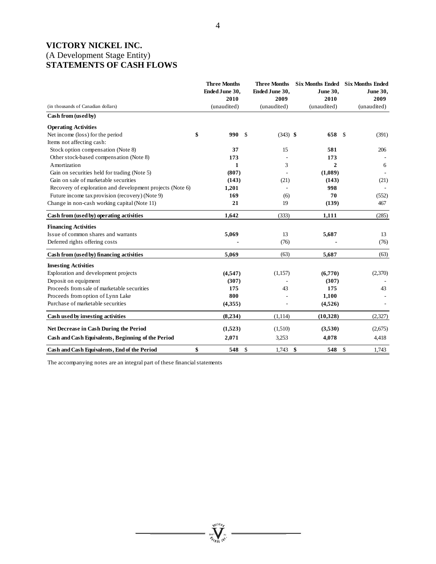# **VICTORY NICKEL INC.**  (A Development Stage Entity) **STATEMENTS OF CASH FLOWS**

|                                                           | <b>Three Months</b><br>Ended June 30,<br>2010 | <b>Three Months</b><br>Ended June 30,<br>2009 | <b>June 30.</b><br>2010 | Six Months Ended Six Months Ended<br><b>June 30,</b><br>2009 |
|-----------------------------------------------------------|-----------------------------------------------|-----------------------------------------------|-------------------------|--------------------------------------------------------------|
| (in thousands of Canadian dollars)                        | (unaudited)                                   | (unaudited)                                   | (unaudited)             | (unaudited)                                                  |
| Cash from (used by)                                       |                                               |                                               |                         |                                                              |
| <b>Operating Activities</b>                               |                                               |                                               |                         |                                                              |
| \$<br>Net income (loss) for the period                    | 990<br><sup>\$</sup>                          | $(343)$ \$                                    | 658                     | -S<br>(391)                                                  |
| Items not affecting cash:                                 |                                               |                                               |                         |                                                              |
| Stock option compensation (Note 8)                        | 37                                            | 15                                            | 581                     | 206                                                          |
| Other stock-based compensation (Note 8)                   | 173                                           |                                               | 173                     |                                                              |
| Amortization                                              | 1                                             | 3                                             | $\mathbf{2}$            | 6                                                            |
| Gain on securities held for trading (Note 5)              | (807)                                         |                                               | (1,089)                 |                                                              |
| Gain on sale of marketable securities                     | (143)                                         | (21)                                          | (143)                   | (21)                                                         |
| Recovery of exploration and development projects (Note 6) | 1,201                                         | ٠                                             | 998                     |                                                              |
| Future income tax provision (recovery) (Note 9)           | 169                                           | (6)                                           | 70                      | (552)                                                        |
| Change in non-cash working capital (Note 11)              | 21                                            | 19                                            | (139)                   | 467                                                          |
| Cash from (used by) operating activities                  | 1,642                                         | (333)                                         | 1,111                   | (285)                                                        |
| <b>Financing Activities</b>                               |                                               |                                               |                         |                                                              |
| Issue of common shares and warrants                       | 5,069                                         | 13                                            | 5,687                   | 13                                                           |
| Deferred rights offering costs                            |                                               | (76)                                          |                         | (76)                                                         |
| Cash from (used by) financing activities                  | 5,069                                         | (63)                                          | 5,687                   | (63)                                                         |
| <b>Investing Activities</b>                               |                                               |                                               |                         |                                                              |
| Exploration and development projects                      | (4,547)                                       | (1,157)                                       | (6,770)                 | (2,370)                                                      |
| Deposit on equipment                                      | (307)                                         |                                               | (307)                   |                                                              |
| Proceeds from sale of marketable securities               | 175                                           | 43                                            | 175                     | 43                                                           |
| Proceeds from option of Lynn Lake                         | 800                                           |                                               | 1,100                   |                                                              |
| Purchase of marketable securities                         | (4,355)                                       |                                               | (4,526)                 |                                                              |
| Cash used by investing activities                         | (8,234)                                       | (1,114)                                       | (10, 328)               | (2,327)                                                      |
| Net Decrease in Cash During the Period                    | (1,523)                                       | (1,510)                                       | (3,530)                 | (2,675)                                                      |
| Cash and Cash Equivalents, Beginning of the Period        | 2,071                                         | 3,253                                         | 4,078                   | 4,418                                                        |
| \$<br>Cash and Cash Equivalents, End of the Period        | $\mathcal{S}$<br>548                          | 1,743                                         | \$<br>548               | -\$<br>1,743                                                 |

**Welling**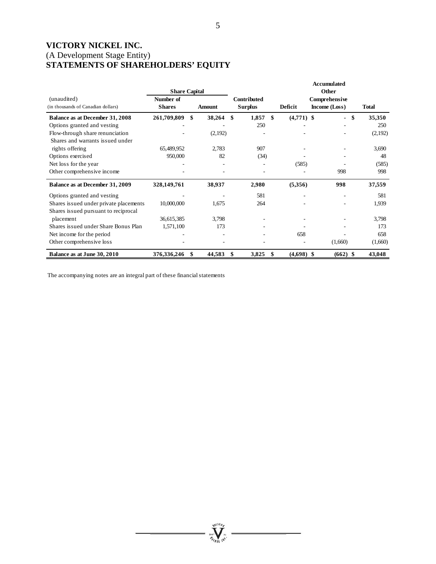# **VICTORY NICKEL INC.**  (A Development Stage Entity) **STATEMENTS OF SHAREHOLDERS' EQUITY**

|                                        |                      |               |                |                    | <b>Accumulated</b>       |              |
|----------------------------------------|----------------------|---------------|----------------|--------------------|--------------------------|--------------|
|                                        | <b>Share Capital</b> |               |                |                    | <b>Other</b>             |              |
| (unaudited)                            | Number of            |               | Contributed    |                    | Comprehensive            |              |
| (in thousands of Canadian dollars)     | <b>Shares</b>        | <b>Amount</b> | <b>Surplus</b> | Deficit            | Income (Loss)            | <b>Total</b> |
| Balance as at December 31, 2008        | 261,709,809          | \$<br>38,264  | \$<br>1,857    | \$<br>$(4,771)$ \$ | $\overline{\phantom{0}}$ | \$<br>35,350 |
| Options granted and vesting            |                      |               | 250            |                    |                          | 250          |
| Flow-through share renunciation        |                      | (2,192)       |                |                    |                          | (2,192)      |
| Shares and warrants issued under       |                      |               |                |                    |                          |              |
| rights offering                        | 65,489,952           | 2,783         | 907            |                    |                          | 3,690        |
| Options exercised                      | 950,000              | 82            | (34)           |                    |                          | 48           |
| Net loss for the year                  |                      |               |                | (585)              |                          | (585)        |
| Other comprehensive income             |                      |               |                |                    | 998                      | 998          |
| Balance as at December 31, 2009        | 328,149,761          | 38,937        | 2,980          | (5,356)            | 998                      | 37,559       |
| Options granted and vesting            |                      |               | 581            |                    |                          | 581          |
| Shares issued under private placements | 10,000,000           | 1,675         | 264            |                    |                          | 1,939        |
| Shares issued pursuant to reciprocal   |                      |               |                |                    |                          |              |
| placement                              | 36,615,385           | 3,798         |                |                    |                          | 3,798        |
| Shares issued under Share Bonus Plan   | 1,571,100            | 173           |                |                    |                          | 173          |
| Net income for the period              |                      |               |                | 658                |                          | 658          |
| Other comprehensive loss               |                      |               |                |                    | (1,660)                  | (1,660)      |
| Balance as at June 30, 2010            | 376,336,246          | \$<br>44,583  | 3,825          | \$<br>$(4,698)$ \$ | $(662)$ \$               | 43,048       |

**William**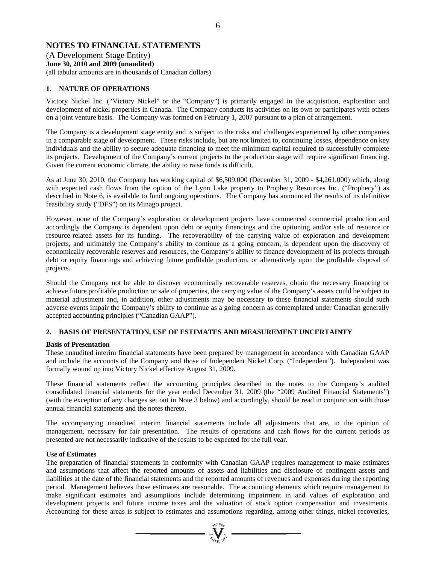# **NOTES TO FINANCIAL STATEMENTS**

(A Development Stage Entity) **June 30, 2010 and 2009 (unaudited)**  (all tabular amounts are in thousands of Canadian dollars)

# **1. NATURE OF OPERATIONS**

Victory Nickel Inc. ("Victory Nickel" or the "Company") is primarily engaged in the acquisition, exploration and development of nickel properties in Canada. The Company conducts its activities on its own or participates with others on a joint venture basis. The Company was formed on February 1, 2007 pursuant to a plan of arrangement.

The Company is a development stage entity and is subject to the risks and challenges experienced by other companies in a comparable stage of development. These risks include, but are not limited to, continuing losses, dependence on key individuals and the ability to secure adequate financing to meet the minimum capital required to successfully complete its projects. Development of the Company's current projects to the production stage will require significant financing. Given the current economic climate, the ability to raise funds is difficult.

As at June 30, 2010, the Company has working capital of \$6,509,000 (December 31, 2009 - \$4,261,000) which, along with expected cash flows from the option of the Lynn Lake property to Prophecy Resources Inc. ("Prophecy") as described in Note 6, is available to fund ongoing operations. The Company has announced the results of its definitive feasibility study ("DFS") on its Minago project.

However, none of the Company's exploration or development projects have commenced commercial production and accordingly the Company is dependent upon debt or equity financings and the optioning and/or sale of resource or resource-related assets for its funding. The recoverability of the carrying value of exploration and development projects, and ultimately the Company's ability to continue as a going concern, is dependent upon the discovery of economically recoverable reserves and resources, the Company's ability to finance development of its projects through debt or equity financings and achieving future profitable production, or alternatively upon the profitable disposal of projects.

Should the Company not be able to discover economically recoverable reserves, obtain the necessary financing or achieve future profitable production or sale of properties, the carrying value of the Company's assets could be subject to material adjustment and, in addition, other adjustments may be necessary to these financial statements should such adverse events impair the Company's ability to continue as a going concern as contemplated under Canadian generally accepted accounting principles ("Canadian GAAP").

# **2. BASIS OF PRESENTATION, USE OF ESTIMATES AND MEASUREMENT UNCERTAINTY**

# **Basis of Presentation**

These unaudited interim financial statements have been prepared by management in accordance with Canadian GAAP and include the accounts of the Company and those of Independent Nickel Corp. ("Independent"). Independent was formally wound up into Victory Nickel effective August 31, 2009.

These financial statements reflect the accounting principles described in the notes to the Company's audited consolidated financial statements for the year ended December 31, 2009 (the "2009 Audited Financial Statements") (with the exception of any changes set out in Note 3 below) and accordingly, should be read in conjunction with those annual financial statements and the notes thereto.

The accompanying unaudited interim financial statements include all adjustments that are, in the opinion of management, necessary for fair presentation. The results of operations and cash flows for the current periods as presented are not necessarily indicative of the results to be expected for the full year.

# **Use of Estimates**

The preparation of financial statements in conformity with Canadian GAAP requires management to make estimates and assumptions that affect the reported amounts of assets and liabilities and disclosure of contingent assets and liabilities at the date of the financial statements and the reported amounts of revenues and expenses during the reporting period. Management believes those estimates are reasonable. The accounting elements which require management to make significant estimates and assumptions include determining impairment in and values of exploration and development projects and future income taxes and the valuation of stock option compensation and investments. Accounting for these areas is subject to estimates and assumptions regarding, among other things, nickel recoveries,

 $\sum_{\alpha}$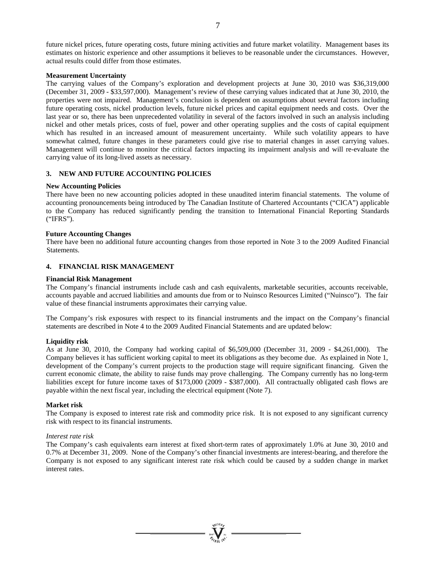# **Measurement Uncertainty**

The carrying values of the Company's exploration and development projects at June 30, 2010 was \$36,319,000 (December 31, 2009 - \$33,597,000). Management's review of these carrying values indicated that at June 30, 2010, the properties were not impaired. Management's conclusion is dependent on assumptions about several factors including future operating costs, nickel production levels, future nickel prices and capital equipment needs and costs. Over the last year or so, there has been unprecedented volatility in several of the factors involved in such an analysis including nickel and other metals prices, costs of fuel, power and other operating supplies and the costs of capital equipment which has resulted in an increased amount of measurement uncertainty. While such volatility appears to have somewhat calmed, future changes in these parameters could give rise to material changes in asset carrying values. Management will continue to monitor the critical factors impacting its impairment analysis and will re-evaluate the carrying value of its long-lived assets as necessary.

# **3. NEW AND FUTURE ACCOUNTING POLICIES**

# **New Accounting Policies**

There have been no new accounting policies adopted in these unaudited interim financial statements. The volume of accounting pronouncements being introduced by The Canadian Institute of Chartered Accountants ("CICA") applicable to the Company has reduced significantly pending the transition to International Financial Reporting Standards ("IFRS").

## **Future Accounting Changes**

There have been no additional future accounting changes from those reported in Note 3 to the 2009 Audited Financial Statements.

# **4. FINANCIAL RISK MANAGEMENT**

## **Financial Risk Management**

The Company's financial instruments include cash and cash equivalents, marketable securities, accounts receivable, accounts payable and accrued liabilities and amounts due from or to Nuinsco Resources Limited ("Nuinsco"). The fair value of these financial instruments approximates their carrying value.

The Company's risk exposures with respect to its financial instruments and the impact on the Company's financial statements are described in Note 4 to the 2009 Audited Financial Statements and are updated below:

## **Liquidity risk**

As at June 30, 2010, the Company had working capital of \$6,509,000 (December 31, 2009 - \$4,261,000). The Company believes it has sufficient working capital to meet its obligations as they become due. As explained in Note 1, development of the Company's current projects to the production stage will require significant financing. Given the current economic climate, the ability to raise funds may prove challenging. The Company currently has no long-term liabilities except for future income taxes of \$173,000 (2009 - \$387,000). All contractually obligated cash flows are payable within the next fiscal year, including the electrical equipment (Note 7).

## **Market risk**

The Company is exposed to interest rate risk and commodity price risk. It is not exposed to any significant currency risk with respect to its financial instruments.

## *Interest rate risk*

The Company's cash equivalents earn interest at fixed short-term rates of approximately 1.0% at June 30, 2010 and 0.7% at December 31, 2009. None of the Company's other financial investments are interest-bearing, and therefore the Company is not exposed to any significant interest rate risk which could be caused by a sudden change in market interest rates.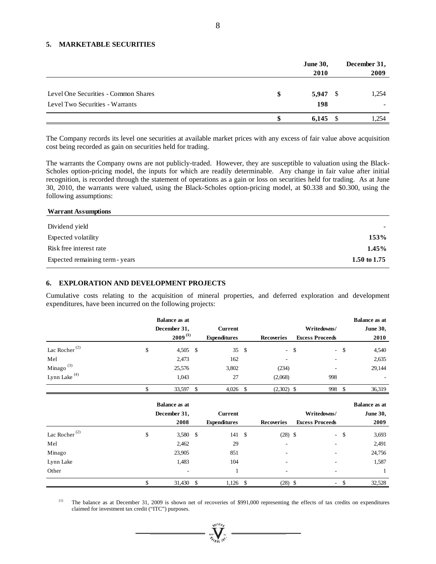## **5. MARKETABLE SECURITIES**

|                                                                         | <b>June 30,</b><br>2010 | December 31,<br>2009 |
|-------------------------------------------------------------------------|-------------------------|----------------------|
| Level One Securities - Common Shares<br>Level Two Securities - Warrants | \$<br>$5,947$ \$<br>198 | 1,254                |
|                                                                         | 6,145                   | 1.254                |

The Company records its level one securities at available market prices with any excess of fair value above acquisition cost being recorded as gain on securities held for trading.

The warrants the Company owns are not publicly-traded. However, they are susceptible to valuation using the Black-Scholes option-pricing model, the inputs for which are readily determinable. Any change in fair value after initial recognition, is recorded through the statement of operations as a gain or loss on securities held for trading. As at June 30, 2010, the warrants were valued, using the Black-Scholes option-pricing model, at \$0.338 and \$0.300, using the following assumptions:

# **Warrant Assumptions**

| Dividend yield                  |                |
|---------------------------------|----------------|
| Expected volatility             | 153%           |
| Risk free interest rate         | $1.45\%$       |
| Expected remaining term - years | 1.50 to $1.75$ |

#### **6. EXPLORATION AND DEVELOPMENT PROJECTS**

Cumulative costs relating to the acquisition of mineral properties, and deferred exploration and development expenditures, have been incurred on the following projects:

|                                        |   | <b>Balance as at</b> |                     |      |                   |             |                        |        | <b>Balance as at</b> |
|----------------------------------------|---|----------------------|---------------------|------|-------------------|-------------|------------------------|--------|----------------------|
|                                        |   | December 31,         | Current             |      |                   | Writedowns/ |                        |        | <b>June 30,</b>      |
|                                        |   | $2009^{(1)}$         | <b>Expenditures</b> |      | <b>Recoveries</b> |             | <b>Excess Proceeds</b> |        | 2010                 |
| Lac Rocher <sup><math>(2)</math></sup> | э | $4,505$ \$           | 35                  | - \$ |                   | - \$        |                        | $-$ \$ | 4,540                |
| Mel                                    |   | 2,473                | 162                 |      | ۰                 |             | ۰                      |        | 2,635                |
| Minago $^{(3)}$                        |   | 25,576               | 3,802               |      | (234)             |             | ۰.                     |        | 29,144               |
| Lynn Lake <sup>(4)</sup>               |   | 1,043                | 27                  |      | (2,068)           |             | 998                    |        |                      |
|                                        |   | 33,597 \$            | 4,026               | -S   | $(2,302)$ \$      |             | 998                    |        | 36,319               |

|                           | <b>Balance as at</b>     |                     |      |                   |                        |        | <b>Balance as at</b> |
|---------------------------|--------------------------|---------------------|------|-------------------|------------------------|--------|----------------------|
|                           | December 31,             | <b>Current</b>      |      |                   | Writedowns/            |        | <b>June 30,</b>      |
|                           | 2008                     | <b>Expenditures</b> |      | <b>Recoveries</b> | <b>Excess Proceeds</b> |        | 2009                 |
| Lac Rocher <sup>(2)</sup> | \$<br>$3,580$ \$         | 141                 | - \$ | $(28)$ \$         |                        | $-$ \$ | 3,693                |
| Mel                       | 2,462                    | 29                  |      | ٠                 | ٠                      |        | 2,491                |
| Minago                    | 23,905                   | 851                 |      | ۰                 | -                      |        | 24,756               |
| Lynn Lake                 | 1,483                    | 104                 |      | ٠                 | ۰                      |        | 1,587                |
| Other                     | $\overline{\phantom{a}}$ |                     |      | $\sim$            | ٠                      |        |                      |
|                           | \$<br>31,430 \$          | $1,126$ \$          |      | $(28)$ \$         |                        | $-$ \$ | 32,528               |

(1) The balance as at December 31, 2009 is shown net of recoveries of \$991,000 representing the effects of tax credits on expenditures claimed for investment tax credit ("ITC") purposes.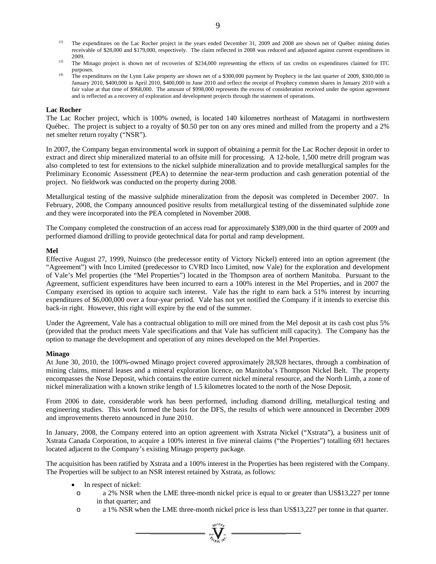- (2) The expenditures on the Lac Rocher project in the years ended December 31, 2009 and 2008 are shown net of Québec mining duties receivable of \$28,000 and \$179,000, respectively. The claim reflected in 2008 was reduced and adjusted against current expenditures in
- 2009.<br><sup>(3)</sup> The Minago project is shown net of recoveries of \$234,000 representing the effects of tax credits on expenditures claimed for ITC purposes. (4) The expenditures on the Lynn Lake property are shown net of a \$300,000 payment by Prophecy in the last quarter of 2009, \$300,000 in
- January 2010, \$400,000 in April 2010, \$400,000 in June 2010 and reflect the receipt of Prophecy common shares in January 2010 with a fair value at that time of \$968,000. The amount of \$998,000 represents the excess of consideration received under the option agreement and is reflected as a recovery of exploration and development projects through the statement of operations.

## **Lac Rocher**

The Lac Rocher project, which is 100% owned, is located 140 kilometres northeast of Matagami in northwestern Québec. The project is subject to a royalty of \$0.50 per ton on any ores mined and milled from the property and a 2% net smelter return royalty ("NSR").

In 2007, the Company began environmental work in support of obtaining a permit for the Lac Rocher deposit in order to extract and direct ship mineralized material to an offsite mill for processing. A 12-hole, 1,500 metre drill program was also completed to test for extensions to the nickel sulphide mineralization and to provide metallurgical samples for the Preliminary Economic Assessment (PEA) to determine the near-term production and cash generation potential of the project. No fieldwork was conducted on the property during 2008.

Metallurgical testing of the massive sulphide mineralization from the deposit was completed in December 2007. In February, 2008, the Company announced positive results from metallurgical testing of the disseminated sulphide zone and they were incorporated into the PEA completed in November 2008.

The Company completed the construction of an access road for approximately \$389,000 in the third quarter of 2009 and performed diamond drilling to provide geotechnical data for portal and ramp development.

## **Mel**

Effective August 27, 1999, Nuinsco (the predecessor entity of Victory Nickel) entered into an option agreement (the "Agreement") with Inco Limited (predecessor to CVRD Inco Limited, now Vale) for the exploration and development of Vale's Mel properties (the "Mel Properties") located in the Thompson area of northern Manitoba. Pursuant to the Agreement, sufficient expenditures have been incurred to earn a 100% interest in the Mel Properties, and in 2007 the Company exercised its option to acquire such interest. Vale has the right to earn back a 51% interest by incurring expenditures of \$6,000,000 over a four-year period. Vale has not yet notified the Company if it intends to exercise this back-in right. However, this right will expire by the end of the summer.

Under the Agreement, Vale has a contractual obligation to mill ore mined from the Mel deposit at its cash cost plus 5% (provided that the product meets Vale specifications and that Vale has sufficient mill capacity). The Company has the option to manage the development and operation of any mines developed on the Mel Properties.

## **Minago**

At June 30, 2010, the 100%-owned Minago project covered approximately 28,928 hectares, through a combination of mining claims, mineral leases and a mineral exploration licence, on Manitoba's Thompson Nickel Belt. The property encompasses the Nose Deposit, which contains the entire current nickel mineral resource, and the North Limb, a zone of nickel mineralization with a known strike length of 1.5 kilometres located to the north of the Nose Deposit.

From 2006 to date, considerable work has been performed, including diamond drilling, metallurgical testing and engineering studies. This work formed the basis for the DFS, the results of which were announced in December 2009 and improvements thereto announced in June 2010.

In January, 2008, the Company entered into an option agreement with Xstrata Nickel ("Xstrata"), a business unit of Xstrata Canada Corporation, to acquire a 100% interest in five mineral claims ("the Properties") totalling 691 hectares located adjacent to the Company's existing Minago property package.

The acquisition has been ratified by Xstrata and a 100% interest in the Properties has been registered with the Company. The Properties will be subject to an NSR interest retained by Xstrata, as follows:

- In respect of nickel:
- o a 2% NSR when the LME three-month nickel price is equal to or greater than US\$13,227 per tonne in that quarter; and
- o a 1% NSR when the LME three-month nickel price is less than US\$13,227 per tonne in that quarter.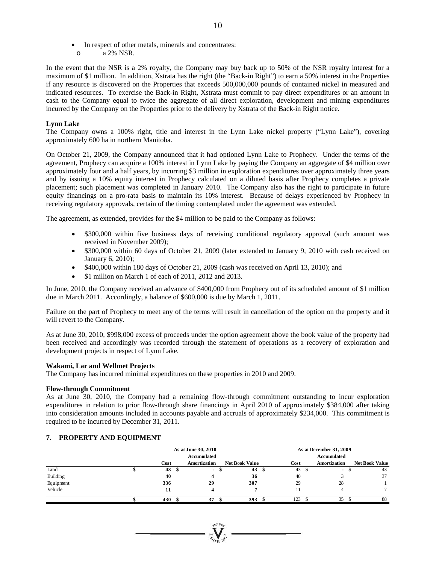- In respect of other metals, minerals and concentrates:
- o a 2% NSR.

In the event that the NSR is a 2% royalty, the Company may buy back up to 50% of the NSR royalty interest for a maximum of \$1 million. In addition, Xstrata has the right (the "Back-in Right") to earn a 50% interest in the Properties if any resource is discovered on the Properties that exceeds 500,000,000 pounds of contained nickel in measured and indicated resources. To exercise the Back-in Right, Xstrata must commit to pay direct expenditures or an amount in cash to the Company equal to twice the aggregate of all direct exploration, development and mining expenditures incurred by the Company on the Properties prior to the delivery by Xstrata of the Back-in Right notice.

# **Lynn Lake**

The Company owns a 100% right, title and interest in the Lynn Lake nickel property ("Lynn Lake"), covering approximately 600 ha in northern Manitoba.

On October 21, 2009, the Company announced that it had optioned Lynn Lake to Prophecy. Under the terms of the agreement, Prophecy can acquire a 100% interest in Lynn Lake by paying the Company an aggregate of \$4 million over approximately four and a half years, by incurring \$3 million in exploration expenditures over approximately three years and by issuing a 10% equity interest in Prophecy calculated on a diluted basis after Prophecy completes a private placement; such placement was completed in January 2010. The Company also has the right to participate in future equity financings on a pro-rata basis to maintain its 10% interest. Because of delays experienced by Prophecy in receiving regulatory approvals, certain of the timing contemplated under the agreement was extended.

The agreement, as extended, provides for the \$4 million to be paid to the Company as follows:

- \$300,000 within five business days of receiving conditional regulatory approval (such amount was received in November 2009);
- \$300,000 within 60 days of October 21, 2009 (later extended to January 9, 2010 with cash received on January 6, 2010);
- \$400,000 within 180 days of October 21, 2009 (cash was received on April 13, 2010); and
- \$1 million on March 1 of each of 2011, 2012 and 2013.

In June, 2010, the Company received an advance of \$400,000 from Prophecy out of its scheduled amount of \$1 million due in March 2011. Accordingly, a balance of \$600,000 is due by March 1, 2011.

Failure on the part of Prophecy to meet any of the terms will result in cancellation of the option on the property and it will revert to the Company.

As at June 30, 2010, \$998,000 excess of proceeds under the option agreement above the book value of the property had been received and accordingly was recorded through the statement of operations as a recovery of exploration and development projects in respect of Lynn Lake.

# **Wakami, Lar and Wellmet Projects**

The Company has incurred minimal expenditures on these properties in 2010 and 2009.

# **Flow-through Commitment**

As at June 30, 2010, the Company had a remaining flow-through commitment outstanding to incur exploration expenditures in relation to prior flow-through share financings in April 2010 of approximately \$384,000 after taking into consideration amounts included in accounts payable and accruals of approximately \$234,000. This commitment is required to be incurred by December 31, 2011.

# **7. PROPERTY AND EQUIPMENT**

|           | As at June 30, 2010 |      |      |                    |   |                       | As at December 31, 2009 |      |      |                          |  |                       |
|-----------|---------------------|------|------|--------------------|---|-----------------------|-------------------------|------|------|--------------------------|--|-----------------------|
|           |                     |      |      | <b>Accumulated</b> |   |                       |                         |      |      | Accumulated              |  |                       |
|           |                     | Cost |      | Amortization       |   | <b>Net Book Value</b> |                         | Cost |      | Amortization             |  | <b>Net Book Value</b> |
| Land      |                     | 43   | - \$ | ٠                  | ﯩ | 43                    | $\mathcal{P}$           | 43   | - \$ | $\overline{\phantom{a}}$ |  | 43                    |
| Building  |                     | 40   |      |                    |   | 36                    |                         | 40   |      |                          |  | 37                    |
| Equipment |                     | 336  |      | 29                 |   | 307                   |                         | 29   |      | 28                       |  |                       |
| Vehicle   |                     | 11   |      |                    |   |                       |                         |      |      |                          |  |                       |
|           |                     | 430  |      | 37                 |   | 393                   |                         | 123  |      | 35                       |  | 88                    |

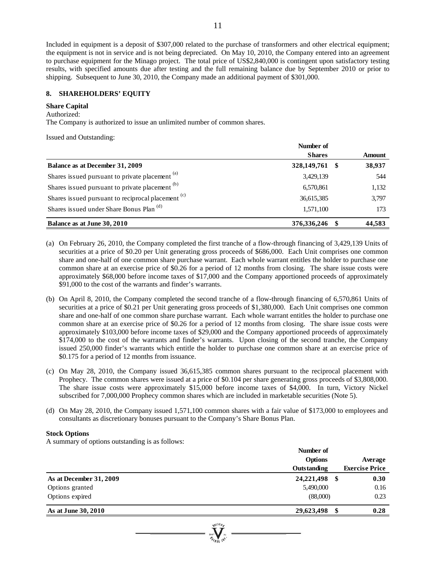Included in equipment is a deposit of \$307,000 related to the purchase of transformers and other electrical equipment; the equipment is not in service and is not being depreciated. On May 10, 2010, the Company entered into an agreement to purchase equipment for the Minago project. The total price of US\$2,840,000 is contingent upon satisfactory testing results, with specified amounts due after testing and the full remaining balance due by September 2010 or prior to shipping. Subsequent to June 30, 2010, the Company made an additional payment of \$301,000.

# **8. SHAREHOLDERS' EQUITY**

#### **Share Capital**

## Authorized:

The Company is authorized to issue an unlimited number of common shares.

Issued and Outstanding:

|                                                               | Number of     |     |               |
|---------------------------------------------------------------|---------------|-----|---------------|
|                                                               | <b>Shares</b> |     | <b>Amount</b> |
| Balance as at December 31, 2009                               | 328,149,761   | -SS | 38,937        |
| Shares issued pursuant to private placement <sup>(a)</sup>    | 3,429,139     |     | 544           |
| Shares issued pursuant to private placement (b)               | 6,570,861     |     | 1,132         |
| Shares issued pursuant to reciprocal placement <sup>(c)</sup> | 36,615,385    |     | 3,797         |
| Shares issued under Share Bonus Plan <sup>(d)</sup>           | 1,571,100     |     | 173           |
| Balance as at June 30, 2010                                   | 376,336,246   |     | 44,583        |

- (a) On February 26, 2010, the Company completed the first tranche of a flow-through financing of 3,429,139 Units of securities at a price of \$0.20 per Unit generating gross proceeds of \$686,000. Each Unit comprises one common share and one-half of one common share purchase warrant. Each whole warrant entitles the holder to purchase one common share at an exercise price of \$0.26 for a period of 12 months from closing. The share issue costs were approximately \$68,000 before income taxes of \$17,000 and the Company apportioned proceeds of approximately \$91,000 to the cost of the warrants and finder's warrants.
- (b) On April 8, 2010, the Company completed the second tranche of a flow-through financing of 6,570,861 Units of securities at a price of \$0.21 per Unit generating gross proceeds of \$1,380,000. Each Unit comprises one common share and one-half of one common share purchase warrant. Each whole warrant entitles the holder to purchase one common share at an exercise price of \$0.26 for a period of 12 months from closing. The share issue costs were approximately \$103,000 before income taxes of \$29,000 and the Company apportioned proceeds of approximately \$174,000 to the cost of the warrants and finder's warrants. Upon closing of the second tranche, the Company issued 250,000 finder's warrants which entitle the holder to purchase one common share at an exercise price of \$0.175 for a period of 12 months from issuance.
- (c) On May 28, 2010, the Company issued 36,615,385 common shares pursuant to the reciprocal placement with Prophecy. The common shares were issued at a price of \$0.104 per share generating gross proceeds of \$3,808,000. The share issue costs were approximately \$15,000 before income taxes of \$4,000. In turn, Victory Nickel subscribed for 7,000,000 Prophecy common shares which are included in marketable securities (Note 5).
- (d) On May 28, 2010, the Company issued 1,571,100 common shares with a fair value of \$173,000 to employees and consultants as discretionary bonuses pursuant to the Company's Share Bonus Plan.

## **Stock Options**

A summary of options outstanding is as follows:

|                         | Number of   |    |                       |
|-------------------------|-------------|----|-----------------------|
|                         | Options     |    |                       |
|                         | Outstanding |    | <b>Exercise Price</b> |
| As at December 31, 2009 | 24,221,498  | S  | 0.30                  |
| Options granted         | 5,490,000   |    | 0.16                  |
| Options expired         | (88,000)    |    | 0.23                  |
| As at June 30, 2010     | 29,623,498  | \$ | 0.28                  |
|                         |             |    |                       |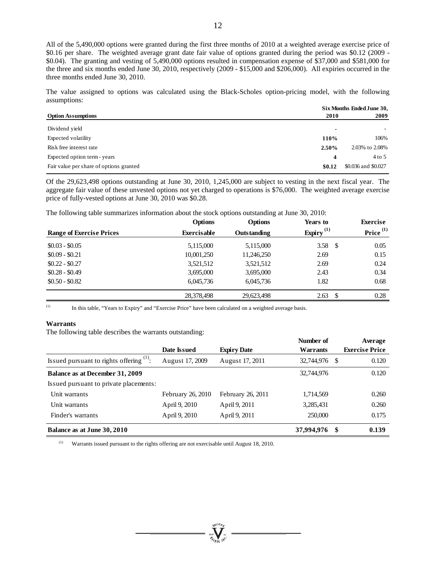All of the 5,490,000 options were granted during the first three months of 2010 at a weighted average exercise price of \$0.16 per share. The weighted average grant date fair value of options granted during the period was \$0.12 (2009 - \$0.04). The granting and vesting of 5,490,000 options resulted in compensation expense of \$37,000 and \$581,000 for the three and six months ended June 30, 2010, respectively (2009 - \$15,000 and \$206,000). All expiries occurred in the three months ended June 30, 2010.

The value assigned to options was calculated using the Black-Scholes option-pricing model, with the following assumptions:

|                                         | Six Months Ended June 30, |                     |  |  |  |  |
|-----------------------------------------|---------------------------|---------------------|--|--|--|--|
| <b>Option Assumptions</b>               | 2010                      | 2009                |  |  |  |  |
| Dividend vield                          | $\overline{\phantom{0}}$  |                     |  |  |  |  |
| Expected volatility                     | 110%                      | 106%                |  |  |  |  |
| Risk free interest rate                 | 2.50%                     | 2.03% to 2.08%      |  |  |  |  |
| Expected option term - years            | $\boldsymbol{4}$          | $4$ to 5            |  |  |  |  |
| Fair value per share of options granted | \$0.12                    | \$0.036 and \$0.027 |  |  |  |  |

Of the 29,623,498 options outstanding at June 30, 2010, 1,245,000 are subject to vesting in the next fiscal year. The aggregate fair value of these unvested options not yet charged to operations is \$76,000. The weighted average exercise price of fully-vested options at June 30, 2010 was \$0.28.

The following table summarizes information about the stock options outstanding at June 30, 2010:

|                                 | <b>Options</b>     | <b>Options</b> | Years to              | <b>Exercise</b>      |
|---------------------------------|--------------------|----------------|-----------------------|----------------------|
| <b>Range of Exercise Prices</b> | <b>Exercisable</b> | Outstanding    | Expiry <sup>(1)</sup> | Price <sup>(1)</sup> |
| $$0.03 - $0.05$                 | 5,115,000          | 5,115,000      | 3.58<br>-S            | 0.05                 |
| $$0.09 - $0.21$                 | 10,001,250         | 11,246,250     | 2.69                  | 0.15                 |
| $$0.22 - $0.27$                 | 3,521,512          | 3,521,512      | 2.69                  | 0.24                 |
| $$0.28 - $0.49$                 | 3,695,000          | 3,695,000      | 2.43                  | 0.34                 |
| $$0.50 - $0.82$$                | 6,045,736          | 6,045,736      | 1.82                  | 0.68                 |
|                                 | 28,378,498         | 29,623,498     | 2.63<br>-S            | 0.28                 |

(1) In this table, "Years to Expiry" and "Exercise Price" have been calculated on a weighted average basis.

#### **Warrants**

The following table describes the warrants outstanding:

|                                            |                   |                    | Number of  |    | Average               |
|--------------------------------------------|-------------------|--------------------|------------|----|-----------------------|
|                                            | Date Issued       | <b>Expiry Date</b> | Warrants   |    | <b>Exercise Price</b> |
| Issued pursuant to rights offering $(1)$ : | August 17, 2009   | August 17, 2011    | 32,744,976 | -S | 0.120                 |
| Balance as at December 31, 2009            |                   |                    | 32,744,976 |    | 0.120                 |
| Issued pursuant to private placements:     |                   |                    |            |    |                       |
| Unit warrants                              | February 26, 2010 | February 26, 2011  | 1,714,569  |    | 0.260                 |
| Unit warrants                              | April 9, 2010     | April 9, 2011      | 3,285,431  |    | 0.260                 |
| Finder's warrants                          | April 9, 2010     | April 9, 2011      | 250,000    |    | 0.175                 |
| Balance as at June 30, 2010                |                   |                    | 37,994,976 | \$ | 0.139                 |

(1) Warrants issued pursuant to the rights offering are not exercisable until August 18, 2010.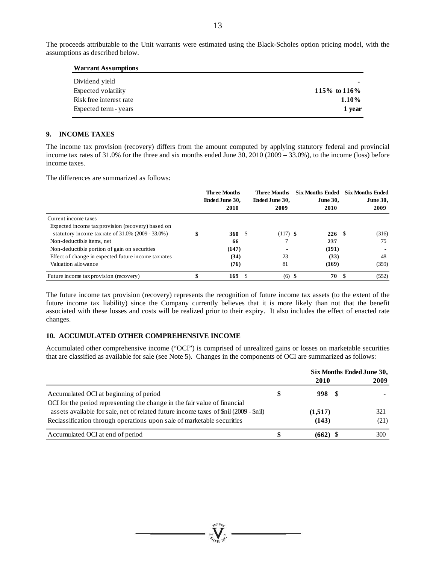The proceeds attributable to the Unit warrants were estimated using the Black-Scholes option pricing model, with the assumptions as described below.

| <b>Warrant Assumptions</b> |                |
|----------------------------|----------------|
| Dividend yield             |                |
| Expected volatility        | 115\% to 116\% |
| Risk free interest rate    | $1.10\%$       |
| Expected term - years      | 1 year         |

## **9. INCOME TAXES**

The income tax provision (recovery) differs from the amount computed by applying statutory federal and provincial income tax rates of 31.0% for the three and six months ended June 30, 2010 (2009 – 33.0%), to the income (loss) before income taxes.

The differences are summarized as follows:

|                                                      | <b>Three Months</b><br>Ended June 30,<br>2010 |    | <b>Three Months</b><br>Ended June 30,<br>2009 | <b>Six Months Ended</b><br><b>June 30.</b><br>2010 | <b>Six Months Ended</b><br><b>June 30,</b><br>2009 |
|------------------------------------------------------|-----------------------------------------------|----|-----------------------------------------------|----------------------------------------------------|----------------------------------------------------|
| Current income taxes                                 |                                               |    |                                               |                                                    |                                                    |
| Expected income tax provision (recovery) based on    |                                               |    |                                               |                                                    |                                                    |
| statutory income tax rate of $31.0\%$ (2009 - 33.0%) | 360                                           | -S | $(117)$ \$                                    | 226S                                               | (316)                                              |
| Non-deductible items, net                            | 66                                            |    |                                               | 237                                                | 75                                                 |
| Non-deductible portion of gain on securities         | (147)                                         |    |                                               | (191)                                              |                                                    |
| Effect of change in expected future income tax rates | (34)                                          |    | 23                                            | (33)                                               | 48                                                 |
| Valuation allowance                                  | (76)                                          |    | 81                                            | (169)                                              | (359)                                              |
| Future income tax provision (recovery)               | 169                                           |    | (6)                                           | 70                                                 | (552)                                              |

The future income tax provision (recovery) represents the recognition of future income tax assets (to the extent of the future income tax liability) since the Company currently believes that it is more likely than not that the benefit associated with these losses and costs will be realized prior to their expiry. It also includes the effect of enacted rate changes.

# **10. ACCUMULATED OTHER COMPREHENSIVE INCOME**

Accumulated other comprehensive income ("OCI") is comprised of unrealized gains or losses on marketable securities that are classified as available for sale (see Note 5). Changes in the components of OCI are summarized as follows:

|                                                                                       |     | Six Months Ended June 30, |      |  |
|---------------------------------------------------------------------------------------|-----|---------------------------|------|--|
|                                                                                       |     | 2010                      | 2009 |  |
| Accumulated OCI at beginning of period                                                | S   | 998 \$                    |      |  |
| OCI for the period representing the change in the fair value of financial             |     |                           |      |  |
| assets available for sale, net of related future income taxes of \$nil (2009 - \$nil) |     | (1,517)                   | 321  |  |
| Reclassification through operations upon sale of marketable securities                |     | (143)                     | (21) |  |
| Accumulated OCI at end of period                                                      | ٠D. | $(662)$ \$                | 300  |  |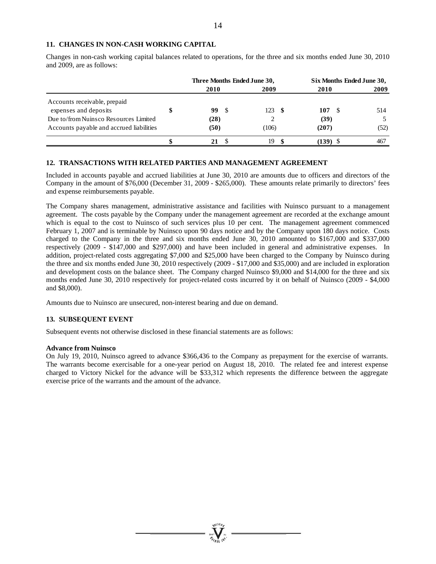## **11. CHANGES IN NON-CASH WORKING CAPITAL**

Changes in non-cash working capital balances related to operations, for the three and six months ended June 30, 2010 and 2009, are as follows:

|                                          | Three Months Ended June 30, |      |       |     | Six Months Ended June 30, |  |      |
|------------------------------------------|-----------------------------|------|-------|-----|---------------------------|--|------|
|                                          | 2010                        |      | 2009  |     | 2010                      |  | 2009 |
| Accounts receivable, prepaid             |                             |      |       |     |                           |  |      |
| expenses and deposits                    | 99                          | - \$ | 123   | - 8 | 107                       |  | 514  |
| Due to/from Nuinsco Resources Limited    | (28)                        |      |       |     | (39)                      |  |      |
| Accounts payable and accrued liabilities | (50)                        |      | (106) |     | (207)                     |  | (52) |
|                                          | 21                          |      | 19    |     | (139)                     |  | 467  |

# **12. TRANSACTIONS WITH RELATED PARTIES AND MANAGEMENT AGREEMENT**

Included in accounts payable and accrued liabilities at June 30, 2010 are amounts due to officers and directors of the Company in the amount of \$76,000 (December 31, 2009 - \$265,000). These amounts relate primarily to directors' fees and expense reimbursements payable.

The Company shares management, administrative assistance and facilities with Nuinsco pursuant to a management agreement. The costs payable by the Company under the management agreement are recorded at the exchange amount which is equal to the cost to Nuinsco of such services plus 10 per cent. The management agreement commenced February 1, 2007 and is terminable by Nuinsco upon 90 days notice and by the Company upon 180 days notice. Costs charged to the Company in the three and six months ended June 30, 2010 amounted to \$167,000 and \$337,000 respectively (2009 - \$147,000 and \$297,000) and have been included in general and administrative expenses. In addition, project-related costs aggregating \$7,000 and \$25,000 have been charged to the Company by Nuinsco during the three and six months ended June 30, 2010 respectively (2009 - \$17,000 and \$35,000) and are included in exploration and development costs on the balance sheet. The Company charged Nuinsco \$9,000 and \$14,000 for the three and six months ended June 30, 2010 respectively for project-related costs incurred by it on behalf of Nuinsco (2009 - \$4,000 and \$8,000).

Amounts due to Nuinsco are unsecured, non-interest bearing and due on demand.

## **13. SUBSEQUENT EVENT**

Subsequent events not otherwise disclosed in these financial statements are as follows:

## **Advance from Nuinsco**

On July 19, 2010, Nuinsco agreed to advance \$366,436 to the Company as prepayment for the exercise of warrants. The warrants become exercisable for a one-year period on August 18, 2010. The related fee and interest expense charged to Victory Nickel for the advance will be \$33,312 which represents the difference between the aggregate exercise price of the warrants and the amount of the advance.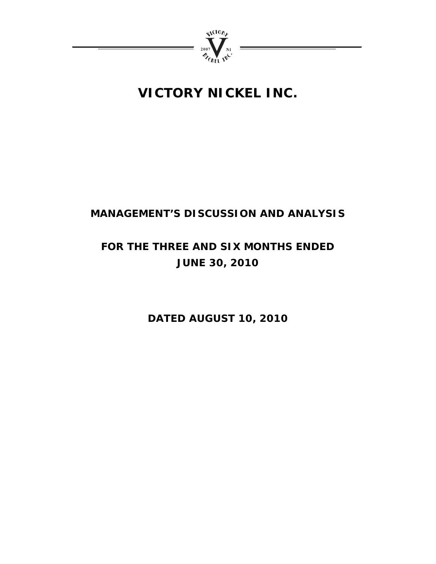

# **VICTORY NICKEL INC.**

# **MANAGEMENT'S DISCUSSION AND ANALYSIS**

# **FOR THE THREE AND SIX MONTHS ENDED JUNE 30, 2010**

**DATED AUGUST 10, 2010**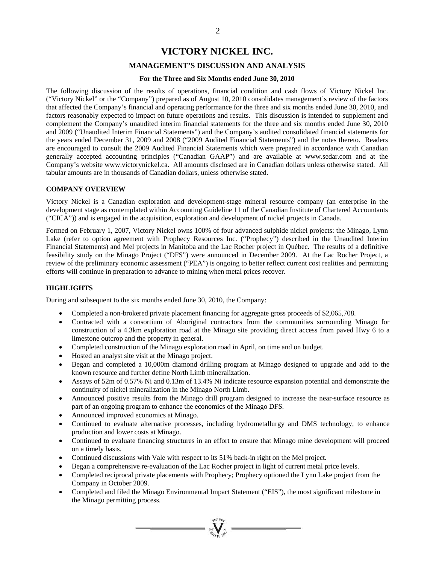# **VICTORY NICKEL INC.**

# **MANAGEMENT'S DISCUSSION AND ANALYSIS**

## **For the Three and Six Months ended June 30, 2010**

The following discussion of the results of operations, financial condition and cash flows of Victory Nickel Inc. ("Victory Nickel" or the "Company") prepared as of August 10, 2010 consolidates management's review of the factors that affected the Company's financial and operating performance for the three and six months ended June 30, 2010, and factors reasonably expected to impact on future operations and results. This discussion is intended to supplement and complement the Company's unaudited interim financial statements for the three and six months ended June 30, 2010 and 2009 ("Unaudited Interim Financial Statements") and the Company's audited consolidated financial statements for the years ended December 31, 2009 and 2008 ("2009 Audited Financial Statements") and the notes thereto. Readers are encouraged to consult the 2009 Audited Financial Statements which were prepared in accordance with Canadian generally accepted accounting principles ("Canadian GAAP") and are available at www.sedar.com and at the Company's website www.victorynickel.ca. All amounts disclosed are in Canadian dollars unless otherwise stated. All tabular amounts are in thousands of Canadian dollars, unless otherwise stated.

## **COMPANY OVERVIEW**

Victory Nickel is a Canadian exploration and development-stage mineral resource company (an enterprise in the development stage as contemplated within Accounting Guideline 11 of the Canadian Institute of Chartered Accountants ("CICA")) and is engaged in the acquisition, exploration and development of nickel projects in Canada.

Formed on February 1, 2007, Victory Nickel owns 100% of four advanced sulphide nickel projects: the Minago, Lynn Lake (refer to option agreement with Prophecy Resources Inc. ("Prophecy") described in the Unaudited Interim Financial Statements) and Mel projects in Manitoba and the Lac Rocher project in Québec. The results of a definitive feasibility study on the Minago Project ("DFS") were announced in December 2009. At the Lac Rocher Project, a review of the preliminary economic assessment ("PEA") is ongoing to better reflect current cost realities and permitting efforts will continue in preparation to advance to mining when metal prices recover.

## **HIGHLIGHTS**

During and subsequent to the six months ended June 30, 2010, the Company:

- Completed a non-brokered private placement financing for aggregate gross proceeds of \$2,065,708.
- Contracted with a consortium of Aboriginal contractors from the communities surrounding Minago for construction of a 4.3km exploration road at the Minago site providing direct access from paved Hwy 6 to a limestone outcrop and the property in general.
- Completed construction of the Minago exploration road in April, on time and on budget.
- Hosted an analyst site visit at the Minago project.
- Began and completed a 10,000m diamond drilling program at Minago designed to upgrade and add to the known resource and further define North Limb mineralization.
- Assays of 52m of 0.57% Ni and 0.13m of 13.4% Ni indicate resource expansion potential and demonstrate the continuity of nickel mineralization in the Minago North Limb.
- Announced positive results from the Minago drill program designed to increase the near-surface resource as part of an ongoing program to enhance the economics of the Minago DFS.
- Announced improved economics at Minago.
- Continued to evaluate alternative processes, including hydrometallurgy and DMS technology, to enhance production and lower costs at Minago.
- Continued to evaluate financing structures in an effort to ensure that Minago mine development will proceed on a timely basis.
- Continued discussions with Vale with respect to its 51% back-in right on the Mel project.
- Began a comprehensive re-evaluation of the Lac Rocher project in light of current metal price levels.
- Completed reciprocal private placements with Prophecy; Prophecy optioned the Lynn Lake project from the Company in October 2009.
- Completed and filed the Minago Environmental Impact Statement ("EIS"), the most significant milestone in the Minago permitting process.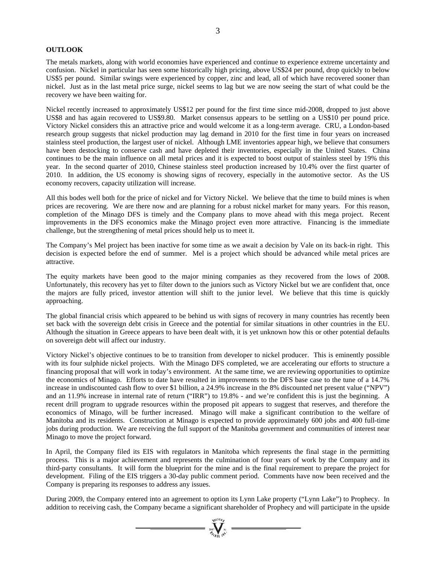# **OUTLOOK**

The metals markets, along with world economies have experienced and continue to experience extreme uncertainty and confusion. Nickel in particular has seen some historically high pricing, above US\$24 per pound, drop quickly to below US\$5 per pound. Similar swings were experienced by copper, zinc and lead, all of which have recovered sooner than nickel. Just as in the last metal price surge, nickel seems to lag but we are now seeing the start of what could be the recovery we have been waiting for.

Nickel recently increased to approximately US\$12 per pound for the first time since mid-2008, dropped to just above US\$8 and has again recovered to US\$9.80. Market consensus appears to be settling on a US\$10 per pound price. Victory Nickel considers this an attractive price and would welcome it as a long-term average. CRU, a London-based research group suggests that nickel production may lag demand in 2010 for the first time in four years on increased stainless steel production, the largest user of nickel. Although LME inventories appear high, we believe that consumers have been destocking to conserve cash and have depleted their inventories, especially in the United States. China continues to be the main influence on all metal prices and it is expected to boost output of stainless steel by 19% this year. In the second quarter of 2010, Chinese stainless steel production increased by 10.4% over the first quarter of 2010. In addition, the US economy is showing signs of recovery, especially in the automotive sector. As the US economy recovers, capacity utilization will increase.

All this bodes well both for the price of nickel and for Victory Nickel. We believe that the time to build mines is when prices are recovering. We are there now and are planning for a robust nickel market for many years. For this reason, completion of the Minago DFS is timely and the Company plans to move ahead with this mega project. Recent improvements in the DFS economics make the Minago project even more attractive. Financing is the immediate challenge, but the strengthening of metal prices should help us to meet it.

The Company's Mel project has been inactive for some time as we await a decision by Vale on its back-in right. This decision is expected before the end of summer. Mel is a project which should be advanced while metal prices are attractive.

The equity markets have been good to the major mining companies as they recovered from the lows of 2008. Unfortunately, this recovery has yet to filter down to the juniors such as Victory Nickel but we are confident that, once the majors are fully priced, investor attention will shift to the junior level. We believe that this time is quickly approaching.

The global financial crisis which appeared to be behind us with signs of recovery in many countries has recently been set back with the sovereign debt crisis in Greece and the potential for similar situations in other countries in the EU. Although the situation in Greece appears to have been dealt with, it is yet unknown how this or other potential defaults on sovereign debt will affect our industry.

Victory Nickel's objective continues to be to transition from developer to nickel producer. This is eminently possible with its four sulphide nickel projects. With the Minago DFS completed, we are accelerating our efforts to structure a financing proposal that will work in today's environment. At the same time, we are reviewing opportunities to optimize the economics of Minago. Efforts to date have resulted in improvements to the DFS base case to the tune of a 14.7% increase in undiscounted cash flow to over \$1 billion, a 24.9% increase in the 8% discounted net present value ("NPV") and an 11.9% increase in internal rate of return ("IRR") to 19.8% - and we're confident this is just the beginning. A recent drill program to upgrade resources within the proposed pit appears to suggest that reserves, and therefore the economics of Minago, will be further increased. Minago will make a significant contribution to the welfare of Manitoba and its residents. Construction at Minago is expected to provide approximately 600 jobs and 400 full-time jobs during production. We are receiving the full support of the Manitoba government and communities of interest near Minago to move the project forward.

In April, the Company filed its EIS with regulators in Manitoba which represents the final stage in the permitting process. This is a major achievement and represents the culmination of four years of work by the Company and its third-party consultants. It will form the blueprint for the mine and is the final requirement to prepare the project for development. Filing of the EIS triggers a 30-day public comment period. Comments have now been received and the Company is preparing its responses to address any issues.

During 2009, the Company entered into an agreement to option its Lynn Lake property ("Lynn Lake") to Prophecy. In addition to receiving cash, the Company became a significant shareholder of Prophecy and will participate in the upside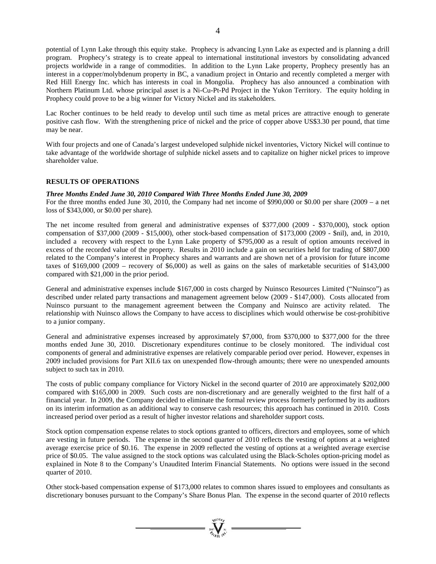potential of Lynn Lake through this equity stake. Prophecy is advancing Lynn Lake as expected and is planning a drill program. Prophecy's strategy is to create appeal to international institutional investors by consolidating advanced projects worldwide in a range of commodities. In addition to the Lynn Lake property, Prophecy presently has an interest in a copper/molybdenum property in BC, a vanadium project in Ontario and recently completed a merger with Red Hill Energy Inc. which has interests in coal in Mongolia. Prophecy has also announced a combination with Northern Platinum Ltd. whose principal asset is a Ni-Cu-Pt-Pd Project in the Yukon Territory. The equity holding in Prophecy could prove to be a big winner for Victory Nickel and its stakeholders.

Lac Rocher continues to be held ready to develop until such time as metal prices are attractive enough to generate positive cash flow. With the strengthening price of nickel and the price of copper above US\$3.30 per pound, that time may be near.

With four projects and one of Canada's largest undeveloped sulphide nickel inventories, Victory Nickel will continue to take advantage of the worldwide shortage of sulphide nickel assets and to capitalize on higher nickel prices to improve shareholder value.

# **RESULTS OF OPERATIONS**

# *Three Months Ended June 30, 2010 Compared With Three Months Ended June 30, 2009*

For the three months ended June 30, 2010, the Company had net income of \$990,000 or \$0.00 per share (2009 – a net loss of \$343,000, or \$0.00 per share).

The net income resulted from general and administrative expenses of \$377,000 (2009 - \$370,000), stock option compensation of \$37,000 (2009 - \$15,000), other stock-based compensation of \$173,000 (2009 - \$nil), and, in 2010, included a recovery with respect to the Lynn Lake property of \$795,000 as a result of option amounts received in excess of the recorded value of the property. Results in 2010 include a gain on securities held for trading of \$807,000 related to the Company's interest in Prophecy shares and warrants and are shown net of a provision for future income taxes of \$169,000 (2009 – recovery of \$6,000) as well as gains on the sales of marketable securities of \$143,000 compared with \$21,000 in the prior period.

General and administrative expenses include \$167,000 in costs charged by Nuinsco Resources Limited ("Nuinsco") as described under related party transactions and management agreement below (2009 - \$147,000). Costs allocated from Nuinsco pursuant to the management agreement between the Company and Nuinsco are activity related. The relationship with Nuinsco allows the Company to have access to disciplines which would otherwise be cost-prohibitive to a junior company.

General and administrative expenses increased by approximately \$7,000, from \$370,000 to \$377,000 for the three months ended June 30, 2010. Discretionary expenditures continue to be closely monitored. The individual cost components of general and administrative expenses are relatively comparable period over period. However, expenses in 2009 included provisions for Part XII.6 tax on unexpended flow-through amounts; there were no unexpended amounts subject to such tax in 2010.

The costs of public company compliance for Victory Nickel in the second quarter of 2010 are approximately \$202,000 compared with \$165,000 in 2009. Such costs are non-discretionary and are generally weighted to the first half of a financial year. In 2009, the Company decided to eliminate the formal review process formerly performed by its auditors on its interim information as an additional way to conserve cash resources; this approach has continued in 2010. Costs increased period over period as a result of higher investor relations and shareholder support costs.

Stock option compensation expense relates to stock options granted to officers, directors and employees, some of which are vesting in future periods. The expense in the second quarter of 2010 reflects the vesting of options at a weighted average exercise price of \$0.16. The expense in 2009 reflected the vesting of options at a weighted average exercise price of \$0.05. The value assigned to the stock options was calculated using the Black-Scholes option-pricing model as explained in Note 8 to the Company's Unaudited Interim Financial Statements. No options were issued in the second quarter of 2010.

Other stock-based compensation expense of \$173,000 relates to common shares issued to employees and consultants as discretionary bonuses pursuant to the Company's Share Bonus Plan. The expense in the second quarter of 2010 reflects

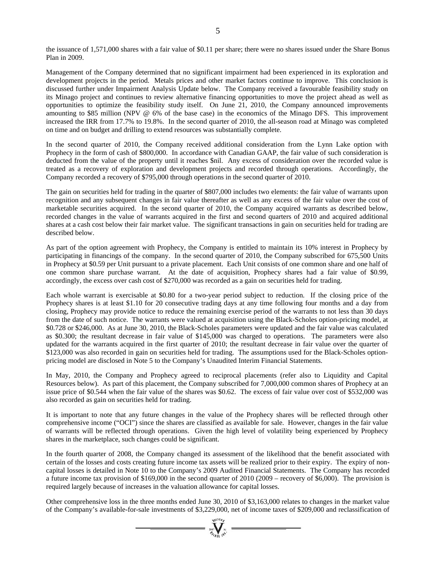the issuance of 1,571,000 shares with a fair value of \$0.11 per share; there were no shares issued under the Share Bonus Plan in 2009.

Management of the Company determined that no significant impairment had been experienced in its exploration and development projects in the period. Metals prices and other market factors continue to improve. This conclusion is discussed further under Impairment Analysis Update below. The Company received a favourable feasibility study on its Minago project and continues to review alternative financing opportunities to move the project ahead as well as opportunities to optimize the feasibility study itself. On June 21, 2010, the Company announced improvements amounting to \$85 million (NPV @ 6% of the base case) in the economics of the Minago DFS. This improvement increased the IRR from 17.7% to 19.8%. In the second quarter of 2010, the all-season road at Minago was completed on time and on budget and drilling to extend resources was substantially complete.

In the second quarter of 2010, the Company received additional consideration from the Lynn Lake option with Prophecy in the form of cash of \$800,000. In accordance with Canadian GAAP, the fair value of such consideration is deducted from the value of the property until it reaches \$nil. Any excess of consideration over the recorded value is treated as a recovery of exploration and development projects and recorded through operations. Accordingly, the Company recorded a recovery of \$795,000 through operations in the second quarter of 2010.

The gain on securities held for trading in the quarter of \$807,000 includes two elements: the fair value of warrants upon recognition and any subsequent changes in fair value thereafter as well as any excess of the fair value over the cost of marketable securities acquired. In the second quarter of 2010, the Company acquired warrants as described below, recorded changes in the value of warrants acquired in the first and second quarters of 2010 and acquired additional shares at a cash cost below their fair market value. The significant transactions in gain on securities held for trading are described below.

As part of the option agreement with Prophecy, the Company is entitled to maintain its 10% interest in Prophecy by participating in financings of the company. In the second quarter of 2010, the Company subscribed for 675,500 Units in Prophecy at \$0.59 per Unit pursuant to a private placement. Each Unit consists of one common share and one half of one common share purchase warrant. At the date of acquisition, Prophecy shares had a fair value of \$0.99, accordingly, the excess over cash cost of \$270,000 was recorded as a gain on securities held for trading.

Each whole warrant is exercisable at \$0.80 for a two-year period subject to reduction. If the closing price of the Prophecy shares is at least \$1.10 for 20 consecutive trading days at any time following four months and a day from closing, Prophecy may provide notice to reduce the remaining exercise period of the warrants to not less than 30 days from the date of such notice. The warrants were valued at acquisition using the Black-Scholes option-pricing model, at \$0.728 or \$246,000. As at June 30, 2010, the Black-Scholes parameters were updated and the fair value was calculated as \$0.300; the resultant decrease in fair value of \$145,000 was charged to operations. The parameters were also updated for the warrants acquired in the first quarter of 2010; the resultant decrease in fair value over the quarter of \$123,000 was also recorded in gain on securities held for trading. The assumptions used for the Black-Scholes optionpricing model are disclosed in Note 5 to the Company's Unaudited Interim Financial Statements.

In May, 2010, the Company and Prophecy agreed to reciprocal placements (refer also to Liquidity and Capital Resources below). As part of this placement, the Company subscribed for 7,000,000 common shares of Prophecy at an issue price of \$0.544 when the fair value of the shares was \$0.62. The excess of fair value over cost of \$532,000 was also recorded as gain on securities held for trading.

It is important to note that any future changes in the value of the Prophecy shares will be reflected through other comprehensive income ("OCI") since the shares are classified as available for sale. However, changes in the fair value of warrants will be reflected through operations. Given the high level of volatility being experienced by Prophecy shares in the marketplace, such changes could be significant.

In the fourth quarter of 2008, the Company changed its assessment of the likelihood that the benefit associated with certain of the losses and costs creating future income tax assets will be realized prior to their expiry. The expiry of noncapital losses is detailed in Note 10 to the Company's 2009 Audited Financial Statements. The Company has recorded a future income tax provision of \$169,000 in the second quarter of 2010 (2009 – recovery of \$6,000). The provision is required largely because of increases in the valuation allowance for capital losses.

Other comprehensive loss in the three months ended June 30, 2010 of \$3,163,000 relates to changes in the market value of the Company's available-for-sale investments of \$3,229,000, net of income taxes of \$209,000 and reclassification of

 $\sum_{i=1}^{n}$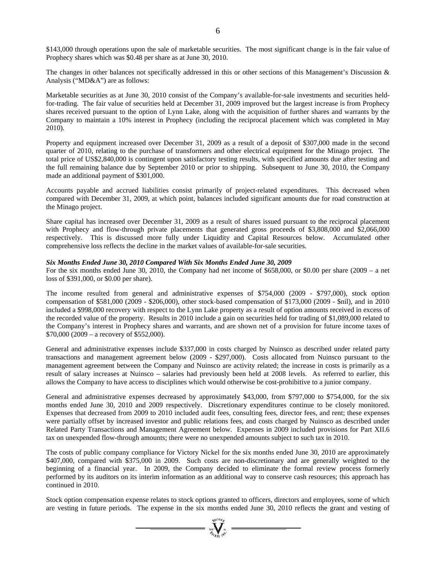\$143,000 through operations upon the sale of marketable securities. The most significant change is in the fair value of Prophecy shares which was \$0.48 per share as at June 30, 2010.

The changes in other balances not specifically addressed in this or other sections of this Management's Discussion & Analysis ("MD&A") are as follows:

Marketable securities as at June 30, 2010 consist of the Company's available-for-sale investments and securities heldfor-trading. The fair value of securities held at December 31, 2009 improved but the largest increase is from Prophecy shares received pursuant to the option of Lynn Lake, along with the acquisition of further shares and warrants by the Company to maintain a 10% interest in Prophecy (including the reciprocal placement which was completed in May 2010).

Property and equipment increased over December 31, 2009 as a result of a deposit of \$307,000 made in the second quarter of 2010, relating to the purchase of transformers and other electrical equipment for the Minago project. The total price of US\$2,840,000 is contingent upon satisfactory testing results, with specified amounts due after testing and the full remaining balance due by September 2010 or prior to shipping. Subsequent to June 30, 2010, the Company made an additional payment of \$301,000.

Accounts payable and accrued liabilities consist primarily of project-related expenditures. This decreased when compared with December 31, 2009, at which point, balances included significant amounts due for road construction at the Minago project.

Share capital has increased over December 31, 2009 as a result of shares issued pursuant to the reciprocal placement with Prophecy and flow-through private placements that generated gross proceeds of \$3,808,000 and \$2,066,000 respectively. This is discussed more fully under Liquidity and Capital Resources below. Accumulated other comprehensive loss reflects the decline in the market values of available-for-sale securities.

#### *Six Months Ended June 30, 2010 Compared With Six Months Ended June 30, 2009*

For the six months ended June 30, 2010, the Company had net income of \$658,000, or \$0.00 per share (2009 – a net loss of \$391,000, or \$0.00 per share).

The income resulted from general and administrative expenses of \$754,000 (2009 - \$797,000), stock option compensation of \$581,000 (2009 - \$206,000), other stock-based compensation of \$173,000 (2009 - \$nil), and in 2010 included a \$998,000 recovery with respect to the Lynn Lake property as a result of option amounts received in excess of the recorded value of the property. Results in 2010 include a gain on securities held for trading of \$1,089,000 related to the Company's interest in Prophecy shares and warrants, and are shown net of a provision for future income taxes of \$70,000 (2009 – a recovery of \$552,000).

General and administrative expenses include \$337,000 in costs charged by Nuinsco as described under related party transactions and management agreement below (2009 - \$297,000). Costs allocated from Nuinsco pursuant to the management agreement between the Company and Nuinsco are activity related; the increase in costs is primarily as a result of salary increases at Nuinsco – salaries had previously been held at 2008 levels. As referred to earlier, this allows the Company to have access to disciplines which would otherwise be cost-prohibitive to a junior company.

General and administrative expenses decreased by approximately \$43,000, from \$797,000 to \$754,000, for the six months ended June 30, 2010 and 2009 respectively. Discretionary expenditures continue to be closely monitored. Expenses that decreased from 2009 to 2010 included audit fees, consulting fees, director fees, and rent; these expenses were partially offset by increased investor and public relations fees, and costs charged by Nuinsco as described under Related Party Transactions and Management Agreement below. Expenses in 2009 included provisions for Part XII.6 tax on unexpended flow-through amounts; there were no unexpended amounts subject to such tax in 2010.

The costs of public company compliance for Victory Nickel for the six months ended June 30, 2010 are approximately \$407,000, compared with \$375,000 in 2009. Such costs are non-discretionary and are generally weighted to the beginning of a financial year. In 2009, the Company decided to eliminate the formal review process formerly performed by its auditors on its interim information as an additional way to conserve cash resources; this approach has continued in 2010.

Stock option compensation expense relates to stock options granted to officers, directors and employees, some of which are vesting in future periods. The expense in the six months ended June 30, 2010 reflects the grant and vesting of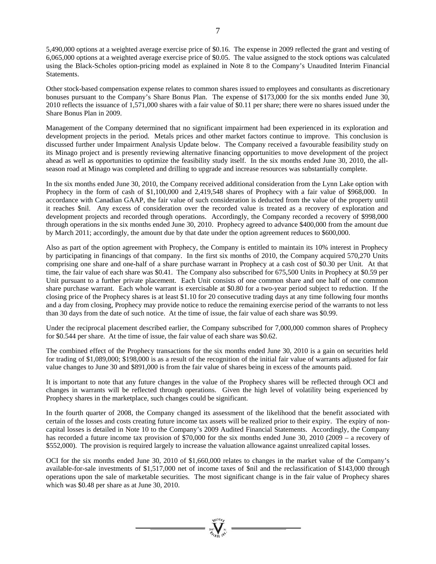5,490,000 options at a weighted average exercise price of \$0.16. The expense in 2009 reflected the grant and vesting of 6,065,000 options at a weighted average exercise price of \$0.05. The value assigned to the stock options was calculated using the Black-Scholes option-pricing model as explained in Note 8 to the Company's Unaudited Interim Financial Statements.

Other stock-based compensation expense relates to common shares issued to employees and consultants as discretionary bonuses pursuant to the Company's Share Bonus Plan. The expense of \$173,000 for the six months ended June 30, 2010 reflects the issuance of 1,571,000 shares with a fair value of \$0.11 per share; there were no shares issued under the Share Bonus Plan in 2009.

Management of the Company determined that no significant impairment had been experienced in its exploration and development projects in the period. Metals prices and other market factors continue to improve. This conclusion is discussed further under Impairment Analysis Update below. The Company received a favourable feasibility study on its Minago project and is presently reviewing alternative financing opportunities to move development of the project ahead as well as opportunities to optimize the feasibility study itself. In the six months ended June 30, 2010, the allseason road at Minago was completed and drilling to upgrade and increase resources was substantially complete.

In the six months ended June 30, 2010, the Company received additional consideration from the Lynn Lake option with Prophecy in the form of cash of \$1,100,000 and 2,419,548 shares of Prophecy with a fair value of \$968,000. In accordance with Canadian GAAP, the fair value of such consideration is deducted from the value of the property until it reaches \$nil. Any excess of consideration over the recorded value is treated as a recovery of exploration and development projects and recorded through operations. Accordingly, the Company recorded a recovery of \$998,000 through operations in the six months ended June 30, 2010. Prophecy agreed to advance \$400,000 from the amount due by March 2011; accordingly, the amount due by that date under the option agreement reduces to \$600,000.

Also as part of the option agreement with Prophecy, the Company is entitled to maintain its 10% interest in Prophecy by participating in financings of that company. In the first six months of 2010, the Company acquired 570,270 Units comprising one share and one-half of a share purchase warrant in Prophecy at a cash cost of \$0.30 per Unit. At that time, the fair value of each share was \$0.41. The Company also subscribed for 675,500 Units in Prophecy at \$0.59 per Unit pursuant to a further private placement. Each Unit consists of one common share and one half of one common share purchase warrant. Each whole warrant is exercisable at \$0.80 for a two-year period subject to reduction. If the closing price of the Prophecy shares is at least \$1.10 for 20 consecutive trading days at any time following four months and a day from closing, Prophecy may provide notice to reduce the remaining exercise period of the warrants to not less than 30 days from the date of such notice. At the time of issue, the fair value of each share was \$0.99.

Under the reciprocal placement described earlier, the Company subscribed for 7,000,000 common shares of Prophecy for \$0.544 per share. At the time of issue, the fair value of each share was \$0.62.

The combined effect of the Prophecy transactions for the six months ended June 30, 2010 is a gain on securities held for trading of \$1,089,000; \$198,000 is as a result of the recognition of the initial fair value of warrants adjusted for fair value changes to June 30 and \$891,000 is from the fair value of shares being in excess of the amounts paid.

It is important to note that any future changes in the value of the Prophecy shares will be reflected through OCI and changes in warrants will be reflected through operations. Given the high level of volatility being experienced by Prophecy shares in the marketplace, such changes could be significant.

In the fourth quarter of 2008, the Company changed its assessment of the likelihood that the benefit associated with certain of the losses and costs creating future income tax assets will be realized prior to their expiry. The expiry of noncapital losses is detailed in Note 10 to the Company's 2009 Audited Financial Statements. Accordingly, the Company has recorded a future income tax provision of \$70,000 for the six months ended June 30, 2010 (2009 – a recovery of \$552,000). The provision is required largely to increase the valuation allowance against unrealized capital losses.

OCI for the six months ended June 30, 2010 of \$1,660,000 relates to changes in the market value of the Company's available-for-sale investments of \$1,517,000 net of income taxes of \$nil and the reclassification of \$143,000 through operations upon the sale of marketable securities. The most significant change is in the fair value of Prophecy shares which was \$0.48 per share as at June 30, 2010.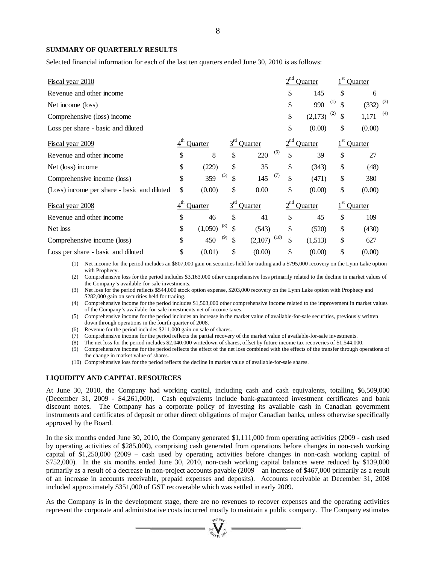## **SUMMARY OF QUARTERLY RESULTS**

Selected financial information for each of the last ten quarters ended June 30, 2010 is as follows:

| <u>Fiscal year 2010</u>                     |                |           |         |      |          | <b>Ouarter</b> |           | Quarter      |
|---------------------------------------------|----------------|-----------|---------|------|----------|----------------|-----------|--------------|
| Revenue and other income                    |                |           |         |      | \$       | 145            | \$        | 6            |
| Net income (loss)                           |                |           |         |      | \$       | 990            | (1)<br>\$ | (3)<br>(332) |
| Comprehensive (loss) income                 |                |           |         |      | \$       | (2,173)        | (2)<br>\$ | (4)<br>1,171 |
| Loss per share - basic and diluted          |                |           |         |      | \$       | (0.00)         | \$        | (0.00)       |
| Fiscal year 2009                            | <b>Ouarter</b> | $3^{rd}$  | Quarter |      | $2^{nd}$ | Quarter        |           | Quarter      |
| Revenue and other income                    | \$<br>8        | \$        | 220     | (6)  | \$       | 39             | \$        | 27           |
| Net (loss) income                           | \$<br>(229)    | \$        | 35      |      | \$       | (343)          | \$        | (48)         |
| Comprehensive income (loss)                 | \$<br>359      | (5)<br>\$ | 145     | (7)  | \$       | (471)          | \$        | 380          |
| (Loss) income per share - basic and diluted | \$<br>(0.00)   | \$        | 0.00    |      | \$       | (0.00)         | \$        | (0.00)       |
| Fiscal year 2008                            | Quarter        | $3^{rd}$  | Quarter |      |          | Quarter        |           | Quarter      |
| Revenue and other income                    | \$<br>46       | \$        | 41      |      | \$       | 45             | \$        | 109          |
| Net loss                                    | \$<br>(1,050)  | (8)<br>\$ | (543)   |      | \$       | (520)          | \$        | (430)        |
| Comprehensive income (loss)                 | \$<br>450      | (9)<br>\$ | (2,107) | (10) | \$       | (1,513)        | \$        | 627          |
| Loss per share - basic and diluted          | \$<br>(0.01)   | \$        | (0.00)  |      | \$       | (0.00)         | \$        | (0.00)       |

(1) Net income for the period includes an \$807,000 gain on securities held for trading and a \$795,000 recovery on the Lynn Lake option with Prophecy.

(2) Comprehensive loss for the period includes \$3,163,000 other comprehensive loss primarily related to the decline in market values of the Company's available-for-sale investments.

(3) Net loss for the period reflects \$544,000 stock option expense, \$203,000 recovery on the Lynn Lake option with Prophecy and \$282,000 gain on securities held for trading.

(4) Comprehensive income for the period includes \$1,503,000 other comprehensive income related to the improvement in market values of the Company's available-for-sale investments net of income taxes.

- (5) Comprehensive income for the period includes an increase in the market value of available-for-sale securities, previously written down through operations in the fourth quarter of 2008.
- (6) Revenue for the period includes \$211,000 gain on sale of shares.
- (7) Comprehensive income for the period reflects the partial recovery of the market value of available-for-sale investments.

(8) The net loss for the period includes \$2,040,000 writedown of shares, offset by future income tax recoveries of \$1,544,000.

- (9) Comprehensive income for the period reflects the effect of the net loss combined with the effects of the transfer through operations of the change in market value of shares.
- (10) Comprehensive loss for the period reflects the decline in market value of available-for-sale shares.

## **LIQUIDITY AND CAPITAL RESOURCES**

At June 30, 2010, the Company had working capital, including cash and cash equivalents, totalling \$6,509,000 (December 31, 2009 - \$4,261,000). Cash equivalents include bank-guaranteed investment certificates and bank discount notes. The Company has a corporate policy of investing its available cash in Canadian government instruments and certificates of deposit or other direct obligations of major Canadian banks, unless otherwise specifically approved by the Board.

In the six months ended June 30, 2010, the Company generated \$1,111,000 from operating activities (2009 - cash used by operating activities of \$285,000), comprising cash generated from operations before changes in non-cash working capital of \$1,250,000 (2009 – cash used by operating activities before changes in non-cash working capital of \$752,000). In the six months ended June 30, 2010, non-cash working capital balances were reduced by \$139,000 primarily as a result of a decrease in non-project accounts payable (2009 – an increase of \$467,000 primarily as a result of an increase in accounts receivable, prepaid expenses and deposits). Accounts receivable at December 31, 2008 included approximately \$351,000 of GST recoverable which was settled in early 2009.

As the Company is in the development stage, there are no revenues to recover expenses and the operating activities represent the corporate and administrative costs incurred mostly to maintain a public company. The Company estimates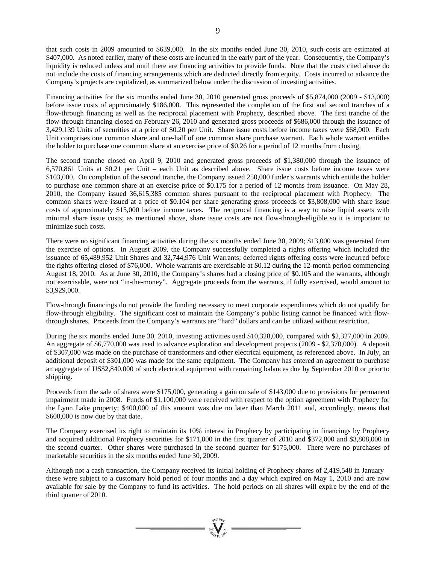that such costs in 2009 amounted to \$639,000. In the six months ended June 30, 2010, such costs are estimated at \$407,000. As noted earlier, many of these costs are incurred in the early part of the year. Consequently, the Company's liquidity is reduced unless and until there are financing activities to provide funds. Note that the costs cited above do not include the costs of financing arrangements which are deducted directly from equity. Costs incurred to advance the Company's projects are capitalized, as summarized below under the discussion of investing activities.

Financing activities for the six months ended June 30, 2010 generated gross proceeds of \$5,874,000 (2009 - \$13,000) before issue costs of approximately \$186,000. This represented the completion of the first and second tranches of a flow-through financing as well as the reciprocal placement with Prophecy, described above. The first tranche of the flow-through financing closed on February 26, 2010 and generated gross proceeds of \$686,000 through the issuance of 3,429,139 Units of securities at a price of \$0.20 per Unit. Share issue costs before income taxes were \$68,000. Each Unit comprises one common share and one-half of one common share purchase warrant. Each whole warrant entitles the holder to purchase one common share at an exercise price of \$0.26 for a period of 12 months from closing.

The second tranche closed on April 9, 2010 and generated gross proceeds of \$1,380,000 through the issuance of 6,570,861 Units at \$0.21 per Unit – each Unit as described above. Share issue costs before income taxes were \$103,000. On completion of the second tranche, the Company issued 250,000 finder's warrants which entitle the holder to purchase one common share at an exercise price of \$0.175 for a period of 12 months from issuance. On May 28, 2010, the Company issued 36,615,385 common shares pursuant to the reciprocal placement with Prophecy. The common shares were issued at a price of \$0.104 per share generating gross proceeds of \$3,808,000 with share issue costs of approximately \$15,000 before income taxes. The reciprocal financing is a way to raise liquid assets with minimal share issue costs; as mentioned above, share issue costs are not flow-through-eligible so it is important to minimize such costs.

There were no significant financing activities during the six months ended June 30, 2009; \$13,000 was generated from the exercise of options. In August 2009, the Company successfully completed a rights offering which included the issuance of 65,489,952 Unit Shares and 32,744,976 Unit Warrants; deferred rights offering costs were incurred before the rights offering closed of \$76,000. Whole warrants are exercisable at \$0.12 during the 12-month period commencing August 18, 2010. As at June 30, 2010, the Company's shares had a closing price of \$0.105 and the warrants, although not exercisable, were not "in-the-money". Aggregate proceeds from the warrants, if fully exercised, would amount to \$3,929,000.

Flow-through financings do not provide the funding necessary to meet corporate expenditures which do not qualify for flow-through eligibility. The significant cost to maintain the Company's public listing cannot be financed with flowthrough shares. Proceeds from the Company's warrants are "hard" dollars and can be utilized without restriction.

During the six months ended June 30, 2010, investing activities used \$10,328,000, compared with \$2,327,000 in 2009. An aggregate of \$6,770,000 was used to advance exploration and development projects (2009 - \$2,370,000). A deposit of \$307,000 was made on the purchase of transformers and other electrical equipment, as referenced above. In July, an additional deposit of \$301,000 was made for the same equipment. The Company has entered an agreement to purchase an aggregate of US\$2,840,000 of such electrical equipment with remaining balances due by September 2010 or prior to shipping.

Proceeds from the sale of shares were \$175,000, generating a gain on sale of \$143,000 due to provisions for permanent impairment made in 2008. Funds of \$1,100,000 were received with respect to the option agreement with Prophecy for the Lynn Lake property; \$400,000 of this amount was due no later than March 2011 and, accordingly, means that \$600,000 is now due by that date.

The Company exercised its right to maintain its 10% interest in Prophecy by participating in financings by Prophecy and acquired additional Prophecy securities for \$171,000 in the first quarter of 2010 and \$372,000 and \$3,808,000 in the second quarter. Other shares were purchased in the second quarter for \$175,000. There were no purchases of marketable securities in the six months ended June 30, 2009.

Although not a cash transaction, the Company received its initial holding of Prophecy shares of 2,419,548 in January – these were subject to a customary hold period of four months and a day which expired on May 1, 2010 and are now available for sale by the Company to fund its activities. The hold periods on all shares will expire by the end of the third quarter of 2010.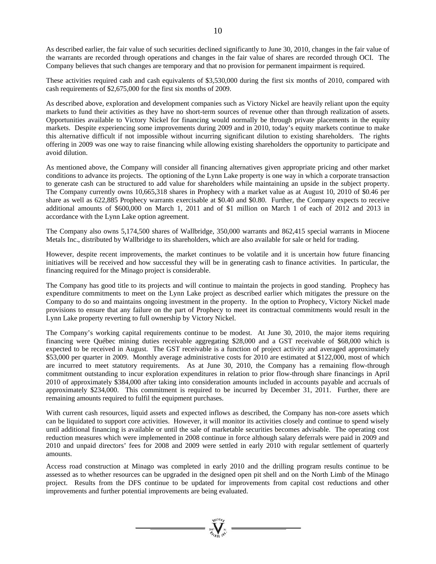As described earlier, the fair value of such securities declined significantly to June 30, 2010, changes in the fair value of the warrants are recorded through operations and changes in the fair value of shares are recorded through OCI. The Company believes that such changes are temporary and that no provision for permanent impairment is required.

These activities required cash and cash equivalents of \$3,530,000 during the first six months of 2010, compared with cash requirements of \$2,675,000 for the first six months of 2009.

As described above, exploration and development companies such as Victory Nickel are heavily reliant upon the equity markets to fund their activities as they have no short-term sources of revenue other than through realization of assets. Opportunities available to Victory Nickel for financing would normally be through private placements in the equity markets. Despite experiencing some improvements during 2009 and in 2010, today's equity markets continue to make this alternative difficult if not impossible without incurring significant dilution to existing shareholders. The rights offering in 2009 was one way to raise financing while allowing existing shareholders the opportunity to participate and avoid dilution.

As mentioned above, the Company will consider all financing alternatives given appropriate pricing and other market conditions to advance its projects. The optioning of the Lynn Lake property is one way in which a corporate transaction to generate cash can be structured to add value for shareholders while maintaining an upside in the subject property. The Company currently owns 10,665,318 shares in Prophecy with a market value as at August 10, 2010 of \$0.46 per share as well as 622,885 Prophecy warrants exercisable at \$0.40 and \$0.80. Further, the Company expects to receive additional amounts of \$600,000 on March 1, 2011 and of \$1 million on March 1 of each of 2012 and 2013 in accordance with the Lynn Lake option agreement.

The Company also owns 5,174,500 shares of Wallbridge, 350,000 warrants and 862,415 special warrants in Miocene Metals Inc., distributed by Wallbridge to its shareholders, which are also available for sale or held for trading.

However, despite recent improvements, the market continues to be volatile and it is uncertain how future financing initiatives will be received and how successful they will be in generating cash to finance activities. In particular, the financing required for the Minago project is considerable.

The Company has good title to its projects and will continue to maintain the projects in good standing. Prophecy has expenditure commitments to meet on the Lynn Lake project as described earlier which mitigates the pressure on the Company to do so and maintains ongoing investment in the property. In the option to Prophecy, Victory Nickel made provisions to ensure that any failure on the part of Prophecy to meet its contractual commitments would result in the Lynn Lake property reverting to full ownership by Victory Nickel.

The Company's working capital requirements continue to be modest. At June 30, 2010, the major items requiring financing were Québec mining duties receivable aggregating \$28,000 and a GST receivable of \$68,000 which is expected to be received in August. The GST receivable is a function of project activity and averaged approximately \$53,000 per quarter in 2009. Monthly average administrative costs for 2010 are estimated at \$122,000, most of which are incurred to meet statutory requirements. As at June 30, 2010, the Company has a remaining flow-through commitment outstanding to incur exploration expenditures in relation to prior flow-through share financings in April 2010 of approximately \$384,000 after taking into consideration amounts included in accounts payable and accruals of approximately \$234,000. This commitment is required to be incurred by December 31, 2011. Further, there are remaining amounts required to fulfil the equipment purchases.

With current cash resources, liquid assets and expected inflows as described, the Company has non-core assets which can be liquidated to support core activities. However, it will monitor its activities closely and continue to spend wisely until additional financing is available or until the sale of marketable securities becomes advisable. The operating cost reduction measures which were implemented in 2008 continue in force although salary deferrals were paid in 2009 and 2010 and unpaid directors' fees for 2008 and 2009 were settled in early 2010 with regular settlement of quarterly amounts.

Access road construction at Minago was completed in early 2010 and the drilling program results continue to be assessed as to whether resources can be upgraded in the designed open pit shell and on the North Limb of the Minago project. Results from the DFS continue to be updated for improvements from capital cost reductions and other improvements and further potential improvements are being evaluated.

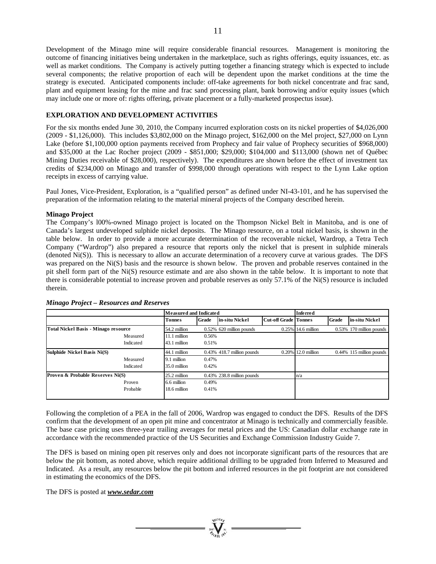Development of the Minago mine will require considerable financial resources. Management is monitoring the outcome of financing initiatives being undertaken in the marketplace, such as rights offerings, equity issuances, etc. as well as market conditions. The Company is actively putting together a financing strategy which is expected to include several components; the relative proportion of each will be dependent upon the market conditions at the time the strategy is executed. Anticipated components include: off-take agreements for both nickel concentrate and frac sand, plant and equipment leasing for the mine and frac sand processing plant, bank borrowing and/or equity issues (which may include one or more of: rights offering, private placement or a fully-marketed prospectus issue).

# **EXPLORATION AND DEVELOPMENT ACTIVITIES**

For the six months ended June 30, 2010, the Company incurred exploration costs on its nickel properties of \$4,026,000 (2009 - \$1,126,000). This includes \$3,802,000 on the Minago project, \$162,000 on the Mel project, \$27,000 on Lynn Lake (before \$1,100,000 option payments received from Prophecy and fair value of Prophecy securities of \$968,000) and \$35,000 at the Lac Rocher project (2009 - \$851,000; \$29,000; \$104,000 and \$113,000 (shown net of Québec Mining Duties receivable of \$28,000), respectively). The expenditures are shown before the effect of investment tax credits of \$234,000 on Minago and transfer of \$998,000 through operations with respect to the Lynn Lake option receipts in excess of carrying value.

Paul Jones, Vice-President, Exploration, is a "qualified person" as defined under NI-43-101, and he has supervised the preparation of the information relating to the material mineral projects of the Company described herein.

## **Minago Project**

The Company's l00%-owned Minago project is located on the Thompson Nickel Belt in Manitoba, and is one of Canada's largest undeveloped sulphide nickel deposits. The Minago resource, on a total nickel basis, is shown in the table below. In order to provide a more accurate determination of the recoverable nickel, Wardrop, a Tetra Tech Company ("Wardrop") also prepared a resource that reports only the nickel that is present in sulphide minerals (denoted Ni(S)). This is necessary to allow an accurate determination of a recovery curve at various grades. The DFS was prepared on the Ni(S) basis and the resource is shown below. The proven and probable reserves contained in the pit shell form part of the Ni(S) resource estimate and are also shown in the table below. It is important to note that there is considerable potential to increase proven and probable reserves as only 57.1% of the Ni(S) resource is included therein.

|                                             |           | <b>Measured and Indicated</b> |       |                               | <b>Inferred</b>             |                    |              |                             |
|---------------------------------------------|-----------|-------------------------------|-------|-------------------------------|-----------------------------|--------------------|--------------|-----------------------------|
|                                             |           | <b>Tonnes</b>                 | Grade | in-situ Nickel                | <b>Cut-off Grade Tonnes</b> |                    | <b>Grade</b> | in-situ Nickel              |
| <b>Total Nickel Basis - Minago resource</b> |           | 54.2 million                  |       | 0.52% 620 million pounds      |                             | 0.25% 14.6 million |              | $0.53\%$ 170 million pounds |
|                                             | Measured  | 11.1 million                  | 0.56% |                               |                             |                    |              |                             |
|                                             | Indicated | 43.1 million                  | 0.51% |                               |                             |                    |              |                             |
| Sulphide Nickel Basis Ni(S)                 |           | 44.1 million                  |       | $0.43\%$ 418.7 million pounds |                             | 0.20% 12.0 million |              | $0.44\%$ 115 million pounds |
|                                             | Measured  | 9.1 million                   | 0.47% |                               |                             |                    |              |                             |
|                                             | Indicated | 35.0 million                  | 0.42% |                               |                             |                    |              |                             |
| <b>Proven &amp; Probable Reserves Ni(S)</b> |           | 25.2 million                  |       | $0.43\%$ 238.8 million pounds |                             | n/a                |              |                             |
|                                             | Proven    | 6.6 million                   | 0.49% |                               |                             |                    |              |                             |
|                                             | Probable  | 18.6 million                  | 0.41% |                               |                             |                    |              |                             |

## *Minago Project – Resources and Reserves*

Following the completion of a PEA in the fall of 2006, Wardrop was engaged to conduct the DFS. Results of the DFS confirm that the development of an open pit mine and concentrator at Minago is technically and commercially feasible. The base case pricing uses three-year trailing averages for metal prices and the US: Canadian dollar exchange rate in accordance with the recommended practice of the US Securities and Exchange Commission Industry Guide 7.

The DFS is based on mining open pit reserves only and does not incorporate significant parts of the resources that are below the pit bottom, as noted above, which require additional drilling to be upgraded from Inferred to Measured and Indicated. As a result, any resources below the pit bottom and inferred resources in the pit footprint are not considered in estimating the economics of the DFS.

The DFS is posted at *www.sedar.com*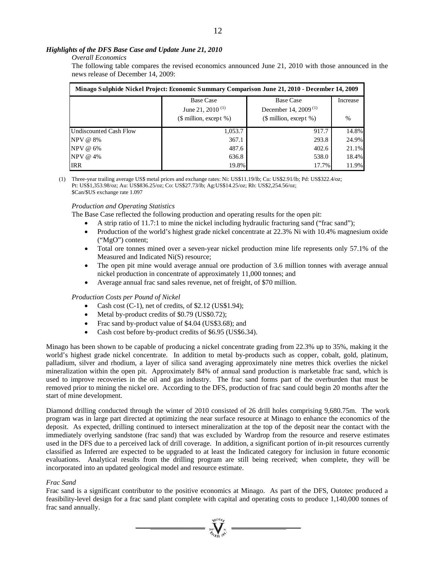# *Highlights of the DFS Base Case and Update June 21, 2010*

# *Overall Economics*

The following table compares the revised economics announced June 21, 2010 with those announced in the news release of December 14, 2009:

| Minago Sulphide Nickel Project: Economic Summary Comparison June 21, 2010 - December 14, 2009 |                              |                                  |               |  |  |  |  |  |  |
|-----------------------------------------------------------------------------------------------|------------------------------|----------------------------------|---------------|--|--|--|--|--|--|
|                                                                                               | <b>Base Case</b>             | <b>Base Case</b>                 | Increase      |  |  |  |  |  |  |
|                                                                                               | June 21, 2010 <sup>(1)</sup> | December 14, 2009 <sup>(1)</sup> |               |  |  |  |  |  |  |
|                                                                                               | $$$ million, except %)       | $(\$$ million, except %)         | $\frac{0}{0}$ |  |  |  |  |  |  |
| Undiscounted Cash Flow                                                                        | 1,053.7                      | 917.7                            | 14.8%         |  |  |  |  |  |  |
| NPV @ 8%                                                                                      | 367.1                        | 293.8                            | 24.9%         |  |  |  |  |  |  |
| NPV @ 6%                                                                                      | 487.6                        | 402.6                            | 21.1%         |  |  |  |  |  |  |
| NPV @ 4%                                                                                      | 636.8                        | 538.0                            | 18.4%         |  |  |  |  |  |  |
| <b>IRR</b>                                                                                    | 19.8%                        | 17.7%                            | 11.9%         |  |  |  |  |  |  |

(1) Three-year trailing average US\$ metal prices and exchange rates: Ni: US\$11.19/lb; Cu: US\$2.91/lb; Pd: US\$322.4/oz; Pt: US\$1,353.98/oz; Au: US\$836.25/oz; Co: US\$27.73/lb; Ag:US\$14.25/oz; Rh: US\$2,254.56/oz; \$Can/\$US exchange rate 1.097

# *Production and Operating Statistics*

The Base Case reflected the following production and operating results for the open pit:

- A strip ratio of 11.7:1 to mine the nickel including hydraulic fracturing sand ("frac sand");
- Production of the world's highest grade nickel concentrate at 22.3% Ni with 10.4% magnesium oxide ("MgO") content;
- Total ore tonnes mined over a seven-year nickel production mine life represents only 57.1% of the Measured and Indicated Ni(S) resource;
- The open pit mine would average annual ore production of 3.6 million tonnes with average annual nickel production in concentrate of approximately 11,000 tonnes; and
- Average annual frac sand sales revenue, net of freight, of \$70 million.

# *Production Costs per Pound of Nickel*

- Cash cost (C-1), net of credits, of \$2.12 (US\$1.94);
- Metal by-product credits of \$0.79 (US\$0.72);
- Frac sand by-product value of \$4.04 (US\$3.68); and
- Cash cost before by-product credits of \$6.95 (US\$6.34).

Minago has been shown to be capable of producing a nickel concentrate grading from 22.3% up to 35%, making it the world's highest grade nickel concentrate. In addition to metal by-products such as copper, cobalt, gold, platinum, palladium, silver and rhodium, a layer of silica sand averaging approximately nine metres thick overlies the nickel mineralization within the open pit. Approximately 84% of annual sand production is marketable frac sand, which is used to improve recoveries in the oil and gas industry. The frac sand forms part of the overburden that must be removed prior to mining the nickel ore. According to the DFS, production of frac sand could begin 20 months after the start of mine development.

Diamond drilling conducted through the winter of 2010 consisted of 26 drill holes comprising 9,680.75m. The work program was in large part directed at optimizing the near surface resource at Minago to enhance the economics of the deposit. As expected, drilling continued to intersect mineralization at the top of the deposit near the contact with the immediately overlying sandstone (frac sand) that was excluded by Wardrop from the resource and reserve estimates used in the DFS due to a perceived lack of drill coverage. In addition, a significant portion of in-pit resources currently classified as Inferred are expected to be upgraded to at least the Indicated category for inclusion in future economic evaluations. Analytical results from the drilling program are still being received; when complete, they will be incorporated into an updated geological model and resource estimate.

## *Frac Sand*

Frac sand is a significant contributor to the positive economics at Minago. As part of the DFS, Outotec produced a feasibility-level design for a frac sand plant complete with capital and operating costs to produce 1,140,000 tonnes of frac sand annually.

=  $\sum_{y \in V(G)}$  =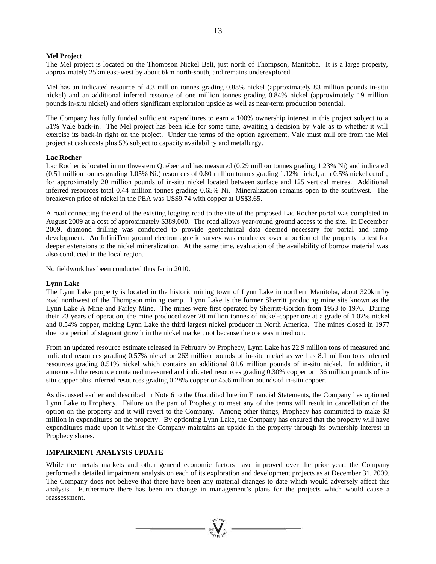## **Mel Project**

The Mel project is located on the Thompson Nickel Belt, just north of Thompson, Manitoba. It is a large property, approximately 25km east-west by about 6km north-south, and remains underexplored.

Mel has an indicated resource of 4.3 million tonnes grading 0.88% nickel (approximately 83 million pounds in-situ nickel) and an additional inferred resource of one million tonnes grading 0.84% nickel (approximately 19 million pounds in-situ nickel) and offers significant exploration upside as well as near-term production potential.

The Company has fully funded sufficient expenditures to earn a 100% ownership interest in this project subject to a 51% Vale back-in. The Mel project has been idle for some time, awaiting a decision by Vale as to whether it will exercise its back-in right on the project. Under the terms of the option agreement, Vale must mill ore from the Mel project at cash costs plus 5% subject to capacity availability and metallurgy.

#### **Lac Rocher**

Lac Rocher is located in northwestern Québec and has measured (0.29 million tonnes grading 1.23% Ni) and indicated (0.51 million tonnes grading 1.05% Ni.) resources of 0.80 million tonnes grading 1.12% nickel, at a 0.5% nickel cutoff, for approximately 20 million pounds of in-situ nickel located between surface and 125 vertical metres. Additional inferred resources total 0.44 million tonnes grading 0.65% Ni. Mineralization remains open to the southwest. The breakeven price of nickel in the PEA was US\$9.74 with copper at US\$3.65.

A road connecting the end of the existing logging road to the site of the proposed Lac Rocher portal was completed in August 2009 at a cost of approximately \$389,000. The road allows year-round ground access to the site. In December 2009, diamond drilling was conducted to provide geotechnical data deemed necessary for portal and ramp development. An InfiniTem ground electromagnetic survey was conducted over a portion of the property to test for deeper extensions to the nickel mineralization. At the same time, evaluation of the availability of borrow material was also conducted in the local region.

No fieldwork has been conducted thus far in 2010.

#### **Lynn Lake**

The Lynn Lake property is located in the historic mining town of Lynn Lake in northern Manitoba, about 320km by road northwest of the Thompson mining camp. Lynn Lake is the former Sherritt producing mine site known as the Lynn Lake A Mine and Farley Mine. The mines were first operated by Sherritt-Gordon from 1953 to 1976. During their 23 years of operation, the mine produced over 20 million tonnes of nickel-copper ore at a grade of 1.02% nickel and 0.54% copper, making Lynn Lake the third largest nickel producer in North America. The mines closed in 1977 due to a period of stagnant growth in the nickel market, not because the ore was mined out.

From an updated resource estimate released in February by Prophecy, Lynn Lake has 22.9 million tons of measured and indicated resources grading 0.57% nickel or 263 million pounds of in-situ nickel as well as 8.1 million tons inferred resources grading 0.51% nickel which contains an additional 81.6 million pounds of in-situ nickel. In addition, it announced the resource contained measured and indicated resources grading 0.30% copper or 136 million pounds of insitu copper plus inferred resources grading 0.28% copper or 45.6 million pounds of in-situ copper.

As discussed earlier and described in Note 6 to the Unaudited Interim Financial Statements, the Company has optioned Lynn Lake to Prophecy. Failure on the part of Prophecy to meet any of the terms will result in cancellation of the option on the property and it will revert to the Company. Among other things, Prophecy has committed to make \$3 million in expenditures on the property. By optioning Lynn Lake, the Company has ensured that the property will have expenditures made upon it whilst the Company maintains an upside in the property through its ownership interest in Prophecy shares.

#### **IMPAIRMENT ANALYSIS UPDATE**

While the metals markets and other general economic factors have improved over the prior year, the Company performed a detailed impairment analysis on each of its exploration and development projects as at December 31, 2009. The Company does not believe that there have been any material changes to date which would adversely affect this analysis. Furthermore there has been no change in management's plans for the projects which would cause a reassessment.

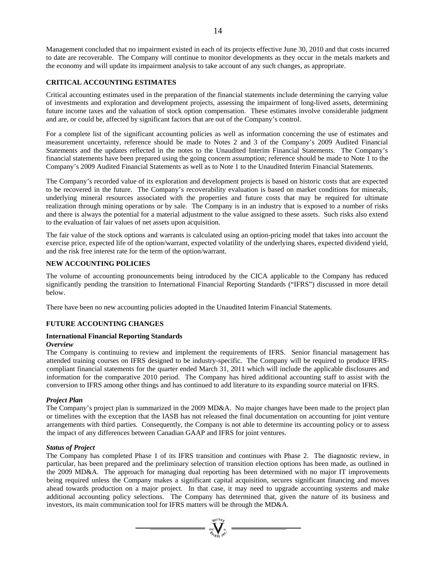Management concluded that no impairment existed in each of its projects effective June 30, 2010 and that costs incurred to date are recoverable. The Company will continue to monitor developments as they occur in the metals markets and the economy and will update its impairment analysis to take account of any such changes, as appropriate.

# **CRITICAL ACCOUNTING ESTIMATES**

Critical accounting estimates used in the preparation of the financial statements include determining the carrying value of investments and exploration and development projects, assessing the impairment of long-lived assets, determining future income taxes and the valuation of stock option compensation. These estimates involve considerable judgment and are, or could be, affected by significant factors that are out of the Company's control.

For a complete list of the significant accounting policies as well as information concerning the use of estimates and measurement uncertainty, reference should be made to Notes 2 and 3 of the Company's 2009 Audited Financial Statements and the updates reflected in the notes to the Unaudited Interim Financial Statements. The Company's financial statements have been prepared using the going concern assumption; reference should be made to Note 1 to the Company's 2009 Audited Financial Statements as well as to Note 1 to the Unaudited Interim Financial Statements.

The Company's recorded value of its exploration and development projects is based on historic costs that are expected to be recovered in the future. The Company's recoverability evaluation is based on market conditions for minerals, underlying mineral resources associated with the properties and future costs that may be required for ultimate realization through mining operations or by sale. The Company is in an industry that is exposed to a number of risks and there is always the potential for a material adjustment to the value assigned to these assets. Such risks also extend to the evaluation of fair values of net assets upon acquisition.

The fair value of the stock options and warrants is calculated using an option-pricing model that takes into account the exercise price, expected life of the option/warrant, expected volatility of the underlying shares, expected dividend yield, and the risk free interest rate for the term of the option/warrant.

# **NEW ACCOUNTING POLICIES**

The volume of accounting pronouncements being introduced by the CICA applicable to the Company has reduced significantly pending the transition to International Financial Reporting Standards ("IFRS") discussed in more detail below.

There have been no new accounting policies adopted in the Unaudited Interim Financial Statements.

# **FUTURE ACCOUNTING CHANGES**

# **International Financial Reporting Standards**

# *Overview*

The Company is continuing to review and implement the requirements of IFRS. Senior financial management has attended training courses on IFRS designed to be industry-specific. The Company will be required to produce IFRScompliant financial statements for the quarter ended March 31, 2011 which will include the applicable disclosures and information for the comparative 2010 period. The Company has hired additional accounting staff to assist with the conversion to IFRS among other things and has continued to add literature to its expanding source material on IFRS.

## *Project Plan*

The Company's project plan is summarized in the 2009 MD&A. No major changes have been made to the project plan or timelines with the exception that the IASB has not released the final documentation on accounting for joint venture arrangements with third parties. Consequently, the Company is not able to determine its accounting policy or to assess the impact of any differences between Canadian GAAP and IFRS for joint ventures.

## *Status of Project*

The Company has completed Phase 1 of its IFRS transition and continues with Phase 2. The diagnostic review, in particular, has been prepared and the preliminary selection of transition election options has been made, as outlined in the 2009 MD&A. The approach for managing dual reporting has been determined with no major IT improvements being required unless the Company makes a significant capital acquisition, secures significant financing and moves ahead towards production on a major project. In that case, it may need to upgrade accounting systems and make additional accounting policy selections. The Company has determined that, given the nature of its business and investors, its main communication tool for IFRS matters will be through the MD&A.

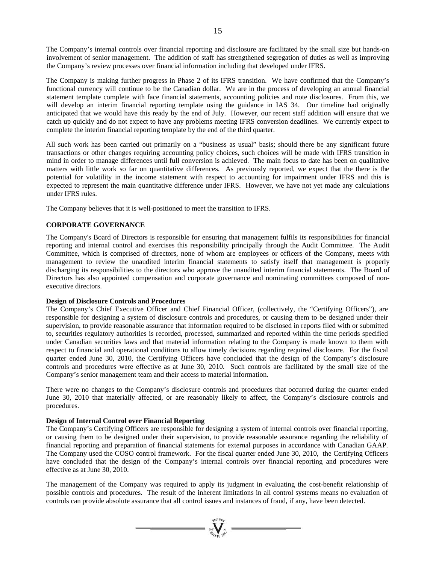The Company's internal controls over financial reporting and disclosure are facilitated by the small size but hands-on involvement of senior management. The addition of staff has strengthened segregation of duties as well as improving the Company's review processes over financial information including that developed under IFRS.

The Company is making further progress in Phase 2 of its IFRS transition. We have confirmed that the Company's functional currency will continue to be the Canadian dollar. We are in the process of developing an annual financial statement template complete with face financial statements, accounting policies and note disclosures. From this, we will develop an interim financial reporting template using the guidance in IAS 34. Our timeline had originally anticipated that we would have this ready by the end of July. However, our recent staff addition will ensure that we catch up quickly and do not expect to have any problems meeting IFRS conversion deadlines. We currently expect to complete the interim financial reporting template by the end of the third quarter.

All such work has been carried out primarily on a "business as usual" basis; should there be any significant future transactions or other changes requiring accounting policy choices, such choices will be made with IFRS transition in mind in order to manage differences until full conversion is achieved. The main focus to date has been on qualitative matters with little work so far on quantitative differences. As previously reported, we expect that the there is the potential for volatility in the income statement with respect to accounting for impairment under IFRS and this is expected to represent the main quantitative difference under IFRS. However, we have not yet made any calculations under IFRS rules.

The Company believes that it is well-positioned to meet the transition to IFRS.

# **CORPORATE GOVERNANCE**

The Company's Board of Directors is responsible for ensuring that management fulfils its responsibilities for financial reporting and internal control and exercises this responsibility principally through the Audit Committee. The Audit Committee, which is comprised of directors, none of whom are employees or officers of the Company, meets with management to review the unaudited interim financial statements to satisfy itself that management is properly discharging its responsibilities to the directors who approve the unaudited interim financial statements. The Board of Directors has also appointed compensation and corporate governance and nominating committees composed of nonexecutive directors.

# **Design of Disclosure Controls and Procedures**

The Company's Chief Executive Officer and Chief Financial Officer, (collectively, the "Certifying Officers"), are responsible for designing a system of disclosure controls and procedures, or causing them to be designed under their supervision, to provide reasonable assurance that information required to be disclosed in reports filed with or submitted to, securities regulatory authorities is recorded, processed, summarized and reported within the time periods specified under Canadian securities laws and that material information relating to the Company is made known to them with respect to financial and operational conditions to allow timely decisions regarding required disclosure. For the fiscal quarter ended June 30, 2010, the Certifying Officers have concluded that the design of the Company's disclosure controls and procedures were effective as at June 30, 2010. Such controls are facilitated by the small size of the Company's senior management team and their access to material information.

There were no changes to the Company's disclosure controls and procedures that occurred during the quarter ended June 30, 2010 that materially affected, or are reasonably likely to affect, the Company's disclosure controls and procedures.

# **Design of Internal Control over Financial Reporting**

The Company's Certifying Officers are responsible for designing a system of internal controls over financial reporting, or causing them to be designed under their supervision, to provide reasonable assurance regarding the reliability of financial reporting and preparation of financial statements for external purposes in accordance with Canadian GAAP. The Company used the COSO control framework. For the fiscal quarter ended June 30, 2010, the Certifying Officers have concluded that the design of the Company's internal controls over financial reporting and procedures were effective as at June 30, 2010.

The management of the Company was required to apply its judgment in evaluating the cost-benefit relationship of possible controls and procedures. The result of the inherent limitations in all control systems means no evaluation of controls can provide absolute assurance that all control issues and instances of fraud, if any, have been detected.

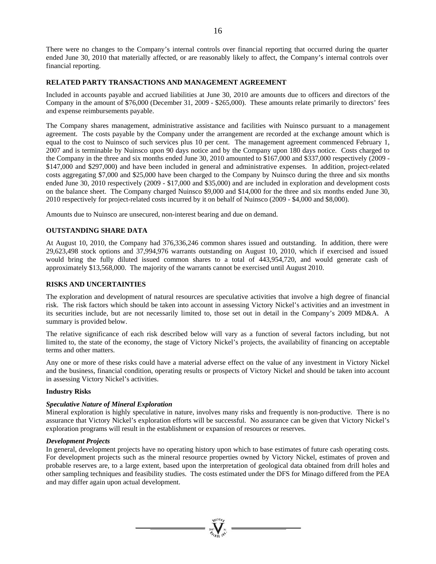There were no changes to the Company's internal controls over financial reporting that occurred during the quarter ended June 30, 2010 that materially affected, or are reasonably likely to affect, the Company's internal controls over financial reporting.

# **RELATED PARTY TRANSACTIONS AND MANAGEMENT AGREEMENT**

Included in accounts payable and accrued liabilities at June 30, 2010 are amounts due to officers and directors of the Company in the amount of \$76,000 (December 31, 2009 - \$265,000). These amounts relate primarily to directors' fees and expense reimbursements payable.

The Company shares management, administrative assistance and facilities with Nuinsco pursuant to a management agreement. The costs payable by the Company under the arrangement are recorded at the exchange amount which is equal to the cost to Nuinsco of such services plus 10 per cent. The management agreement commenced February 1, 2007 and is terminable by Nuinsco upon 90 days notice and by the Company upon 180 days notice. Costs charged to the Company in the three and six months ended June 30, 2010 amounted to \$167,000 and \$337,000 respectively (2009 - \$147,000 and \$297,000) and have been included in general and administrative expenses. In addition, project-related costs aggregating \$7,000 and \$25,000 have been charged to the Company by Nuinsco during the three and six months ended June 30, 2010 respectively (2009 - \$17,000 and \$35,000) and are included in exploration and development costs on the balance sheet. The Company charged Nuinsco \$9,000 and \$14,000 for the three and six months ended June 30, 2010 respectively for project-related costs incurred by it on behalf of Nuinsco (2009 - \$4,000 and \$8,000).

Amounts due to Nuinsco are unsecured, non-interest bearing and due on demand.

# **OUTSTANDING SHARE DATA**

At August 10, 2010, the Company had 376,336,246 common shares issued and outstanding. In addition, there were 29,623,498 stock options and 37,994,976 warrants outstanding on August 10, 2010, which if exercised and issued would bring the fully diluted issued common shares to a total of 443,954,720, and would generate cash of approximately \$13,568,000. The majority of the warrants cannot be exercised until August 2010.

## **RISKS AND UNCERTAINTIES**

The exploration and development of natural resources are speculative activities that involve a high degree of financial risk. The risk factors which should be taken into account in assessing Victory Nickel's activities and an investment in its securities include, but are not necessarily limited to, those set out in detail in the Company's 2009 MD&A. A summary is provided below.

The relative significance of each risk described below will vary as a function of several factors including, but not limited to, the state of the economy, the stage of Victory Nickel's projects, the availability of financing on acceptable terms and other matters.

Any one or more of these risks could have a material adverse effect on the value of any investment in Victory Nickel and the business, financial condition, operating results or prospects of Victory Nickel and should be taken into account in assessing Victory Nickel's activities.

## **Industry Risks**

## *Speculative Nature of Mineral Exploration*

Mineral exploration is highly speculative in nature, involves many risks and frequently is non-productive. There is no assurance that Victory Nickel's exploration efforts will be successful. No assurance can be given that Victory Nickel's exploration programs will result in the establishment or expansion of resources or reserves.

## *Development Projects*

In general, development projects have no operating history upon which to base estimates of future cash operating costs. For development projects such as the mineral resource properties owned by Victory Nickel, estimates of proven and probable reserves are, to a large extent, based upon the interpretation of geological data obtained from drill holes and other sampling techniques and feasibility studies. The costs estimated under the DFS for Minago differed from the PEA and may differ again upon actual development.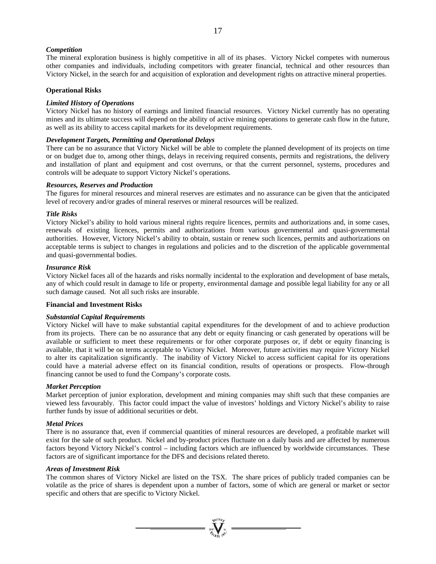# *Competition*

The mineral exploration business is highly competitive in all of its phases. Victory Nickel competes with numerous other companies and individuals, including competitors with greater financial, technical and other resources than Victory Nickel, in the search for and acquisition of exploration and development rights on attractive mineral properties.

# **Operational Risks**

## *Limited History of Operations*

Victory Nickel has no history of earnings and limited financial resources. Victory Nickel currently has no operating mines and its ultimate success will depend on the ability of active mining operations to generate cash flow in the future, as well as its ability to access capital markets for its development requirements.

## *Development Targets, Permitting and Operational Delays*

There can be no assurance that Victory Nickel will be able to complete the planned development of its projects on time or on budget due to, among other things, delays in receiving required consents, permits and registrations, the delivery and installation of plant and equipment and cost overruns, or that the current personnel, systems, procedures and controls will be adequate to support Victory Nickel's operations.

#### *Resources, Reserves and Production*

The figures for mineral resources and mineral reserves are estimates and no assurance can be given that the anticipated level of recovery and/or grades of mineral reserves or mineral resources will be realized.

#### *Title Risks*

Victory Nickel's ability to hold various mineral rights require licences, permits and authorizations and, in some cases, renewals of existing licences, permits and authorizations from various governmental and quasi-governmental authorities. However, Victory Nickel's ability to obtain, sustain or renew such licences, permits and authorizations on acceptable terms is subject to changes in regulations and policies and to the discretion of the applicable governmental and quasi-governmental bodies.

#### *Insurance Risk*

Victory Nickel faces all of the hazards and risks normally incidental to the exploration and development of base metals, any of which could result in damage to life or property, environmental damage and possible legal liability for any or all such damage caused. Not all such risks are insurable.

#### **Financial and Investment Risks**

## *Substantial Capital Requirements*

Victory Nickel will have to make substantial capital expenditures for the development of and to achieve production from its projects. There can be no assurance that any debt or equity financing or cash generated by operations will be available or sufficient to meet these requirements or for other corporate purposes or, if debt or equity financing is available, that it will be on terms acceptable to Victory Nickel. Moreover, future activities may require Victory Nickel to alter its capitalization significantly. The inability of Victory Nickel to access sufficient capital for its operations could have a material adverse effect on its financial condition, results of operations or prospects. Flow-through financing cannot be used to fund the Company's corporate costs.

## *Market Perception*

Market perception of junior exploration, development and mining companies may shift such that these companies are viewed less favourably. This factor could impact the value of investors' holdings and Victory Nickel's ability to raise further funds by issue of additional securities or debt.

#### *Metal Prices*

There is no assurance that, even if commercial quantities of mineral resources are developed, a profitable market will exist for the sale of such product. Nickel and by-product prices fluctuate on a daily basis and are affected by numerous factors beyond Victory Nickel's control – including factors which are influenced by worldwide circumstances. These factors are of significant importance for the DFS and decisions related thereto.

#### *Areas of Investment Risk*

The common shares of Victory Nickel are listed on the TSX. The share prices of publicly traded companies can be volatile as the price of shares is dependent upon a number of factors, some of which are general or market or sector specific and others that are specific to Victory Nickel.

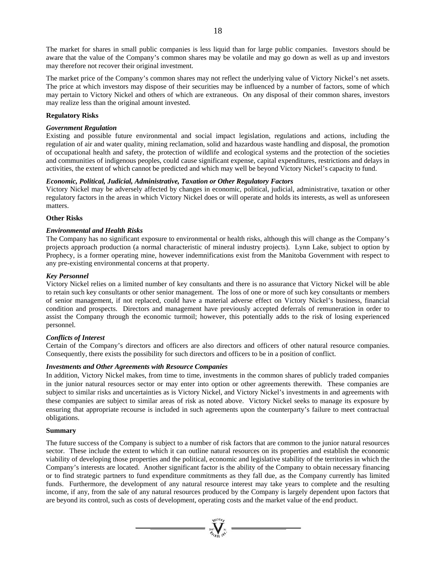The market for shares in small public companies is less liquid than for large public companies. Investors should be aware that the value of the Company's common shares may be volatile and may go down as well as up and investors may therefore not recover their original investment.

The market price of the Company's common shares may not reflect the underlying value of Victory Nickel's net assets. The price at which investors may dispose of their securities may be influenced by a number of factors, some of which may pertain to Victory Nickel and others of which are extraneous. On any disposal of their common shares, investors may realize less than the original amount invested.

# **Regulatory Risks**

# *Government Regulation*

Existing and possible future environmental and social impact legislation, regulations and actions, including the regulation of air and water quality, mining reclamation, solid and hazardous waste handling and disposal, the promotion of occupational health and safety, the protection of wildlife and ecological systems and the protection of the societies and communities of indigenous peoples, could cause significant expense, capital expenditures, restrictions and delays in activities, the extent of which cannot be predicted and which may well be beyond Victory Nickel's capacity to fund.

## *Economic, Political, Judicial, Administrative, Taxation or Other Regulatory Factors*

Victory Nickel may be adversely affected by changes in economic, political, judicial, administrative, taxation or other regulatory factors in the areas in which Victory Nickel does or will operate and holds its interests, as well as unforeseen matters.

# **Other Risks**

# *Environmental and Health Risks*

The Company has no significant exposure to environmental or health risks, although this will change as the Company's projects approach production (a normal characteristic of mineral industry projects). Lynn Lake, subject to option by Prophecy, is a former operating mine, however indemnifications exist from the Manitoba Government with respect to any pre-existing environmental concerns at that property.

# *Key Personnel*

Victory Nickel relies on a limited number of key consultants and there is no assurance that Victory Nickel will be able to retain such key consultants or other senior management. The loss of one or more of such key consultants or members of senior management, if not replaced, could have a material adverse effect on Victory Nickel's business, financial condition and prospects. Directors and management have previously accepted deferrals of remuneration in order to assist the Company through the economic turmoil; however, this potentially adds to the risk of losing experienced personnel.

# *Conflicts of Interest*

Certain of the Company's directors and officers are also directors and officers of other natural resource companies. Consequently, there exists the possibility for such directors and officers to be in a position of conflict.

## *Investments and Other Agreements with Resource Companies*

In addition, Victory Nickel makes, from time to time, investments in the common shares of publicly traded companies in the junior natural resources sector or may enter into option or other agreements therewith. These companies are subject to similar risks and uncertainties as is Victory Nickel, and Victory Nickel's investments in and agreements with these companies are subject to similar areas of risk as noted above. Victory Nickel seeks to manage its exposure by ensuring that appropriate recourse is included in such agreements upon the counterparty's failure to meet contractual obligations.

## **Summary**

The future success of the Company is subject to a number of risk factors that are common to the junior natural resources sector. These include the extent to which it can outline natural resources on its properties and establish the economic viability of developing those properties and the political, economic and legislative stability of the territories in which the Company's interests are located. Another significant factor is the ability of the Company to obtain necessary financing or to find strategic partners to fund expenditure commitments as they fall due, as the Company currently has limited funds. Furthermore, the development of any natural resource interest may take years to complete and the resulting income, if any, from the sale of any natural resources produced by the Company is largely dependent upon factors that are beyond its control, such as costs of development, operating costs and the market value of the end product.